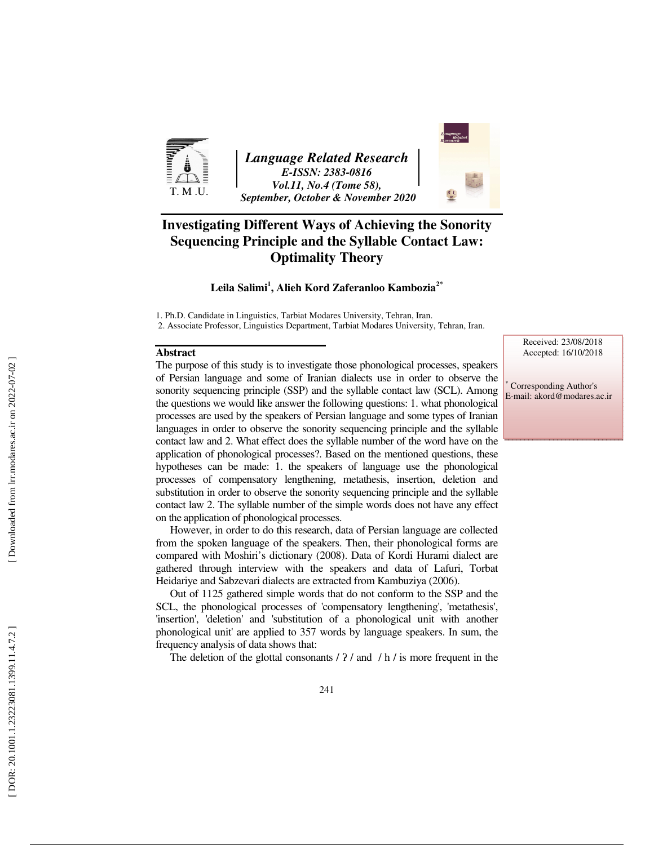

*Language Related Research E-ISSN: 2383-0816 Vol.11, No.4 (Tome 58), September, October & November 2020* 



# **Investigating Different Ways of Achieving the Sonority Sequencing Principle and the Syllable Contact Law: Optimality Theory**

#### **Leila Salimi 1 , Alieh Kord Zaferanloo Kambozia2\***

1. Ph.D. Candidate in Linguistics, Tarbiat Modares University, Tehran, Iran.

2. Associate Professor, Linguistics Department, Tarbiat Modares University, Tehran, Iran.

#### **Abstract**

The purpose of this study is to investigate those phonological processes, speakers of Persian language and some of Iranian dialects use in order to observe the sonority sequencing principle (SSP) and the syllable contact law (SCL). Among the questions we would like answer the following questions: 1. what phonological processes are used by the speakers of Persian language and some types of Iranian languages in order to observe the sonority sequencing principle and the syllable contact law and 2. What effect does the syllable number of the word have on the application of phonological processes?. Based on the mentioned questions, these hypotheses can be made: 1. the speakers of language use the phonological processes of compensatory lengthening, metathesis, insertion, deletion and substitution in order to observe the sonority sequencing principle and the syllable contact law 2. The syllable number of the simple words does not have any effect on the application of phonological processes.

However, in order to do this research, data of Persian language are collected from the spoken language of the speakers. Then, their phonological forms are compared with Moshiri's dictionary (2008). Data of Kordi Hurami dialect are gathered through interview with the speakers and data of Lafuri, Torbat Heidariye and Sabzevari dialects are extracted from Kambuziya (2006).

Out of 1125 gathered simple words that do not conform to the SSP and the SCL, the phonological processes of 'compensatory lengthening', 'metathesis', 'insertion', 'deletion' and 'substitution of a phonological unit with another phonological unit' are applied to 357 words by language speakers. In sum, the frequency analysis of data shows that:

The deletion of the glottal consonants  $/$   $?$   $/$  and  $/$  h $/$  is more frequent in the

Received: 23/08/2018 Accepted: 16/10/2018

 Corresponding Author's E-mail: akord@modares.ac.ir

∗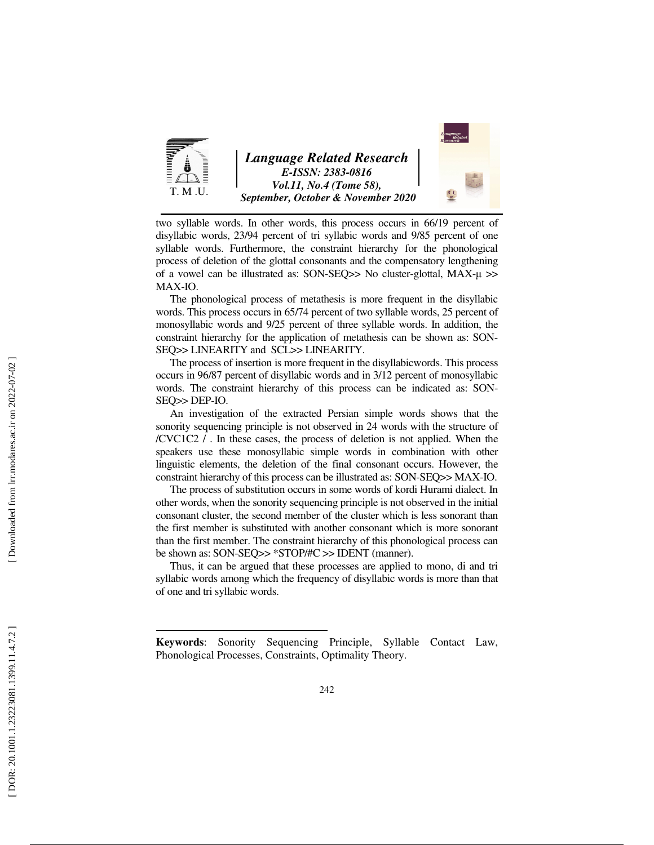

two syllable words. In other words, this process occurs in 66/19 percent of disyllabic words, 23/94 percent of tri syllabic words and 9/85 percent of one syllable words. Furthermore, the constraint hierarchy for the phonological process of deletion of the glottal consonants and the compensatory lengthening of a vowel can be illustrated as: SON-SEQ>> No cluster-glottal, MAX-µ >> MAX-IO.

The phonological process of metathesis is more frequent in the disyllabic words. This process occurs in 65/74 percent of two syllable words, 25 percent of monosyllabic words and 9/25 percent of three syllable words. In addition, the constraint hierarchy for the application of metathesis can be shown as: SON-SEQ>> LINEARITY and SCL>> LINEARITY.

The process of insertion is more frequent in the disyllabicwords. This process occurs in 96/87 percent of disyllabic words and in 3/12 percent of monosyllabic words. The constraint hierarchy of this process can be indicated as: SON-SEQ>> DEP-IO.

An investigation of the extracted Persian simple words shows that the sonority sequencing principle is not observed in 24 words with the structure of /CVC1C2 / . In these cases, the process of deletion is not applied. When the speakers use these monosyllabic simple words in combination with other linguistic elements, the deletion of the final consonant occurs. However, the constraint hierarchy of this process can be illustrated as: SON-SEQ>> MAX-IO.

The process of substitution occurs in some words of kordi Hurami dialect. In other words, when the sonority sequencing principle is not observed in the initial consonant cluster, the second member of the cluster which is less sonorant than the first member is substituted with another consonant which is more sonorant than the first member. The constraint hierarchy of this phonological process can be shown as: SON-SEQ>> \*STOP/#C >> IDENT (manner).

Thus, it can be argued that these processes are applied to mono, di and tri syllabic words among which the frequency of disyllabic words is more than that of one and tri syllabic words.

**Keywords**: Sonority Sequencing Principle, Syllable Contact Law, Phonological Processes, Constraints, Optimality Theory.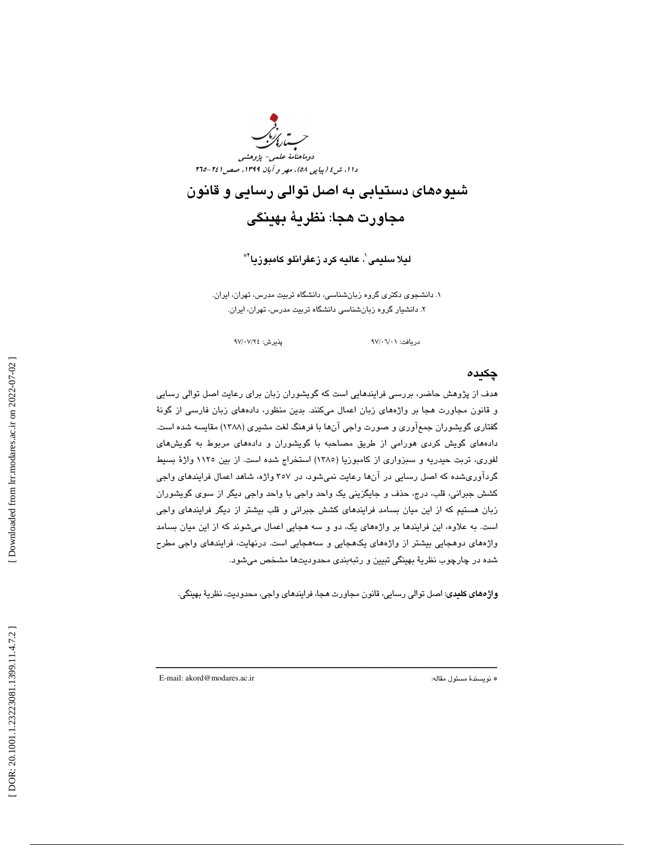

شيوههاي دستيابي به اصل توالي رسايي و قانون مجاورت هجا: نظرية بهينگي

ليلا سليمى ٰ، عاليه كرد زعفرانلو كامبوزيا ْ\*

. دانشجوي دكتري گروه زبانشناسي، دانشگاه تربيت مدرس، تهران، ايران. 1 . دانشيار گروه زبانشناسي دانشگاه تربيت مدرس، تهران، ايران. 2

دريافت: 01/ 06/ 97 پذيرش: 24/ 07/ 97

#### چكيده

هدف از پژوهش حاضر، بررسي فرايندهايي است كه گويشوران زبان براي رعايت اصل توالي رسايي و قانون مجاورت هجا بر واژههاي زبان اعمال ميكنند. بدين منظور، دادههاي زبان فارسي از گونة گفتاري گويشوران جمعآوري و صورت واجي آنها با فرهنگ لغت مشيري (1388) مقايسه شده است. دادههاي گويش كردي هورامي از طريق مصاحبه با گويشوران و دادههاي مربوط به گويشهاي لفوري، تربت حيدريه و سبزواري از كامبوزيا (1385) استخراج شده است. از بين 1125 واژة بسيط گردآوريشده كه اصل رسايي در آنها رعايت نميشود، در ۳۰۷ واژه، شاهد اعمال فرايندهاي واجي كشش جبراني، قلب، درج، حذف و جايگزيني يك واحد واجي با واحد واجي ديگر از سوي گويشوران زبان هستيم كه از اين ميان بسامد فرايندهاي كشش جبراني و قلب بيشتر از ديگر فرايندهاي واجي است. به علاوه، اين فرايندها بر واژههاي يك، دو و سه هجايي اعمال ميشوند كه از اين ميان بسامد واژههاي دوهجايي بيشتر از واژههاي يكهجايي و سههجايي است. درنهايت، فرايندهاي واجي مطرح شده در چارچوب نظرية بهينگي تبيين و رتبهبندي محدوديتها مشخص ميشود.

**واژههای کلیدی**: اصل توالی رسایی، قانون مجاورت هجا، فرایندهای واجی، محدودیت، نظریهٔ بهینگی.

ــــــــــــــــــــــــــــــــــــــــــــــــــــــــــــــــــــــــــــــــــــــــــــــــــــــــــــــــــــــــــــــــــــــــــ

E-mail: akord@modares.ac.ir :مقاله مسئول نويسندة\*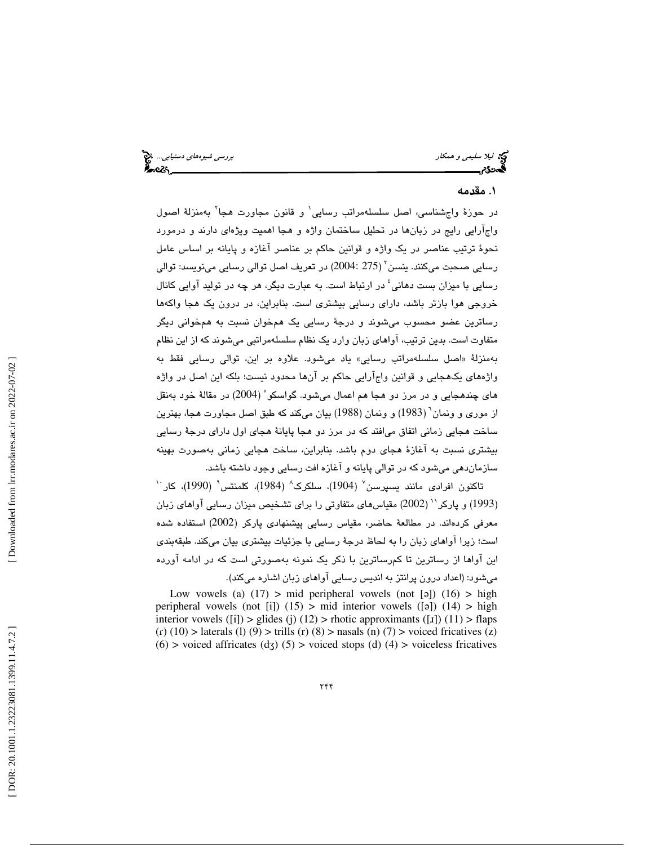ليكا اليلا سليمى و همكار بررسي شيوههاي دستيابي.... المنطقة المستوى المستوى و همكار بررسي شيوههاي دستيابي.... ا<br>المستوى المستوى المستوى المستوى المستوى المستوى المستوى المستوى المستوى المستوى المستوى المستوى المستوى المستو આવેલ

# . مقدمه 1

در حوزهٔ واجشناسی، اصل سلسلهمراتب رسایی` و قانون مجاورت هجا<sup>۲</sup> بهمنزلهٔ اصول واجآرايي رايج در زبانها در تحليل ساختمان واژه و هجا اهميت ويژهاي دارند و درمورد نحوة ترتيب عناصر در يك واژه و قوانين حاكم بر عناصر آغازه و پايانه بر اساس عامل رسايي صحبت ميكنند. ينسن<sup>٢</sup> (275 :2004) در تعريف اصل توالي رسايي مينويسد: توالي رسايي با ميزان بست دهاني<sup>؛</sup> در ارتباط است. به عبارت ديگر، هر چه در توليد آوايي كانال خروجي هوا بازتر باشد، داراي رسايي بيشتري است. بنابراين، در درون يك هجا واكهها رساترين عضو محسوب ميشوند و درجة رسايي يك همخوان نسبت به همخواني ديگر متفاوت است. بدين ترتيب، آواهاي زبان وارد يك نظام سلسلهمراتبي ميشوند كه از اين نظام اصل سلسلهمراتب رسايي» ياد ميشود. علاوه بر اين، توالي رسايي فقط به بهمنزلة « واژههاي يكهجايي و قوانين واجآرايي حاكم بر آنها محدود نيست؛ بلكه اين اصل در واژه هاي چندهجايي و در مرز دو هجا هم اعمال ميشود. گواسكو 5 ( 2004) در مقالة خود بهنقل از موري و ونمان 6 ( 1983) و ونمان (1988) بيان ميكند كه طبق اصل مجاورت هجا، بهترين ساخت هجايي زماني اتفاق ميافتد كه در مرز دو هجا پايانة هجاي اول داراي درجة رسايي بيشتري نسبت به آغازة هجاي دوم باشد. بنابراين، ساخت هجايي زماني بهصورت بهينه سازماندهي ميشود كه در توالي پايانه و آغازه افت رسايي وجود داشته باشد.

 $^{\backprime}$ تاكنون افرادی مانند يسپرسن $^{\backprime}$  (1904)، سلكرک $^{\backprime}$  (1984)، كلمنتس $^{\backprime}$  (1990)، كار (1993) و پاركر `` (2002) مقياسهاي متفاوتي را براي تشخيص ميزان رسايي آواهاي زبان معرفي كردهاند. در مطالعة حاضر، مقياس رسايي پيشنهادي پاركر (2002) استفاده شده است؛ زيرا آواهاي زبان را به لحاظ درجة رسايي با جزئيات بيشتري بيان ميكند. طبقهبندي اين آواها از رساتر ين تا كمرساترين با ذكر يك نمونه بهصورتي است كه در ادامه آورده

ميشود: (اعداد درون پرانتز به انديس رسايي آواهاي زبان اشاره ميكند). Low vowels (a)  $(17)$  > mid peripheral vowels (not [a])  $(16)$  > high peripheral vowels (not  $[i]$ ) (15) > mid interior vowels ([a]) (14) > high interior vowels ([i])  $>$  glides (j) (12)  $>$  rhotic approximants ([1]) (11)  $>$  flaps  $(r)$  (10) > laterals (1) (9) > trills (r) (8) > nasals (n) (7) > voiced fricatives (z)  $(6)$  > voiced affricates  $(d<sub>3</sub>)$   $(5)$  > voiced stops  $(d)$   $(4)$  > voiceless fricatives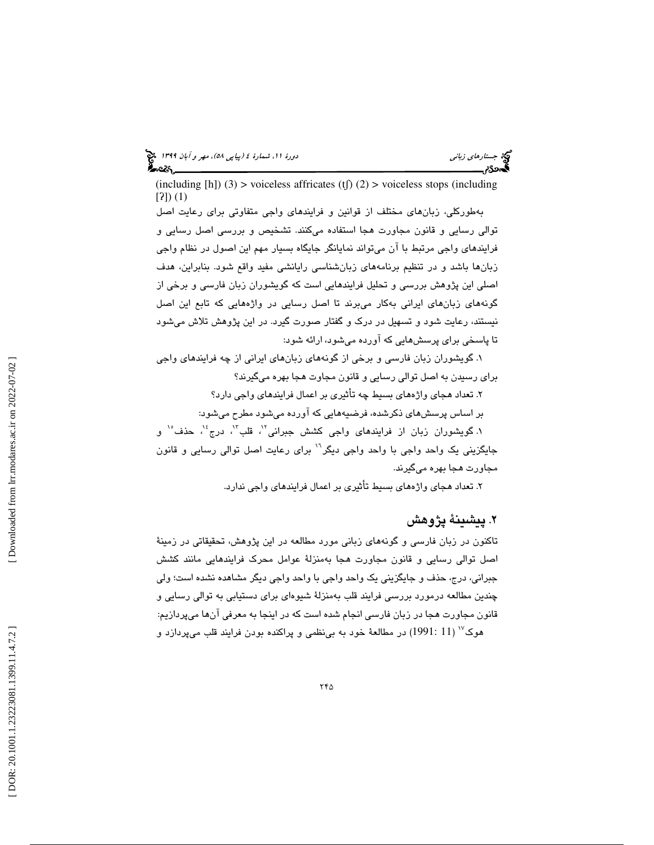(including [h]) (3) > voiceless affricates (tf) (2) > voiceless stops (including [?]) (1)

 بهطوركلي، زبانهاي مختلف از قوانين و فرايندهاي واجي متفاوتي براي رعايت اصل توالي رسايي و قانون مجاورت هجا استفاده ميكنند. تشخيص و بررسي اصل رسايي و فرايندهاي واجي مرتبط با آن ميتواند نمايانگر جايگاه بسيار مهم اين اصول در نظام واجي زبانها باشد و در تنظيم برنامههاي زبانشناسي رايانشي مفيد واقع شود. بنابراين، هدف اصلي اين پژوهش بررسي و تحليل فرايندهايي است كه گويشوران زبان فارسي و برخي از گونههاي زبانهاي ايراني بهكار ميبرند تا اصل رسايي در واژههايي كه تابع اين اصل نيستند، رعايت شود و تسهيل در درك و گفتار صورت گيرد. در اين پژوهش تلاش ميشود تا پاسخي براي پرسشهايي كه آورده ميشود، ارائه شود:

 1. گويشوران زبان فارسي و برخي از گونههاي زبانهاي ايراني از چه فرايندهاي واجي براي رسيدن به اصل توالي رسايي و قانون مجاوت هجا بهره ميگيرند؟

2. تعداد هجاي واژههاي بسيط چه تأثيري بر اعمال فرايندهاي واجي دارد؟

بر اساس پرسشهاي ذكرشده، فرضيههايي كه آورده ميشود مطرح ميشود:

۱. گويشوران زبان از فرايندهاي واجي كشش جبراني<sup>۱٬</sup>، قلب<sup>۱٬</sup>، درج<sup>، ۱</sup>، حذف<sup>۱٬</sup> و جايگزيني يک واحد واجي با واحد واجي ديگر<sup>\\</sup> براي رعايت اصل توالي رسايي و قانون مجاورت هجا بهره ميگيرند .

۲. تعداد هجاي واژههاي بسيط تأثيري بر اعمال فرايند*ه*اي واجي ندارد.

# . پيشينة پژوهش 2

تاكنون در زبان فارسي و گونههاي زباني مورد مطالعه در اين پژوهش، تحقيقاتي در زمينة اصل توالي رسايي و قانون مجاورت هجا بهمنزلة عوامل محرك فرايندهايي مانند كشش جبراني، درج، حذف و جايگزيني يك واحد واجي با واحد واجي ديگر مشاهده نشده است؛ ولي چندين مطالعه درمورد بررسي فرايند قلب بهمنزلة شيوهاي براي دستيابي به توالي رسايي و قانون مجاورت هجا در زبان فارسي انجام شده است كه در اينجا به معرفي آنها ميپردازيم:  $\sim$  (11 11 $^{1991}$ ) در مطالعهٔ خود به بي نظمي و پراكنده بودن فرايند قلب مي $\mu$ دازد و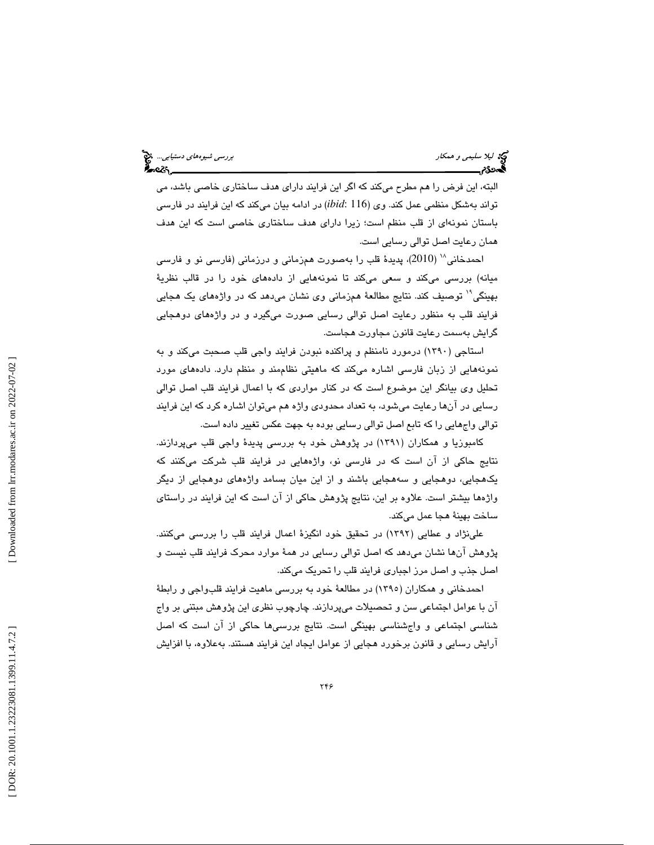ليكا الميلا سليمى و همكار بررسي شيوههاى دستيابي.... الميلاد المستوى و همكار بررسي شيوههاى دستيابي.... الميلاد<br>المستوى المستوى المستوى المستوى المستوى المستوى المستوى المستوى المستوى المستوى المستوى المستوى المستوى المستو<br>

البته، اين فرض را هم مطرح مىكند كه اگر اين فرايند داراى هدف ساختارى خاصى باشد، مى تواند بهشكل منظمي عمل كند. وي (116 :*ibid* (در ادامه بيان ميكند كه اين فرايند در فارسي باستان نمونهاي از قلب منظم است؛ زيرا داراي هدف ساختاري خاصي است كه اين هدف همان رعايت اصل توالي رسايي است.

احمدخاني<sup>\\</sup> (2010)، پديدة قلب را بهصورت همزماني و درزماني (فارسي نو و فارسي ميانه) بررسي ميكند و سعي ميكند تا نمونههايي از دادههاي خود را در قالب نظرية توصيف كند. نتايج مطالعة همزماني وي نشان ميدهد كه در واژههاي يك هجايي <sup>19</sup> بهينگي فرايند قلب به منظور رعايت اصل توالي رسايي صورت ميگيرد و در واژههاي دوهجايي گرايش بهسمت رعايت قانون مجاورت هجاست.

استاجي (1390) درمورد نامنظم و پراكنده نبودن فرايند واجي قلب صحبت ميكند و به نمونههايي از زبان فارسي اشاره ميكند كه ماهيتي نظاممند و منظم دارد. دادههاي مورد تحليل وي بيانگر اين موضوع است كه در كنار مواردي كه با اعمال فرايند قلب اصل توالي رسايي در آنها رعايت ميشود، به تعداد محدودي واژه هم ميتوان اشاره كرد كه اين فرايند توالي واجهايي را كه تابع اصل توالي رسايي بوده به جهت عكس تغيير داده است.

كامبوزيا و همكاران (1391) در پژوهش خود به بررسي پديدة واجي قلب ميپردازند. نتايج حاكي از آن است كه در فارسي نو، واژههايي در فرايند قلب شركت ميكنند كه يكهجايي، دوهجايي و سههجايي باشند و از اين ميان بسامد واژههاي دوهجايي از ديگر واژهها بيشتر است. علاوه بر اين، نتايج پژوهش حاكي از آن است كه اين فرايند در راستاي ساخت بهينة هجا عمل ميكند.

علينژاد و عطايي (1392) در تحقيق خود انگيزة اعمال فرايند قلب را بررسي ميكنند. پژوهش آنها نشان ميدهد كه اصل توالي رسايي در همة موارد محرك فرايند قلب نيست و اصل جذب و اصل مرز اجباري فرايند قلب را تحريك ميكند.

احمدخاني و همكاران (1395) در مطالعة خود به بررسي ماهيت فرايند قلبواجي و رابطة آن با عوامل اجتماعي سن و تحصيلات ميپردازند. چارچوب نظري اين پژوهش مبتني بر واج شناسي اجتماعي و واجشناسي بهينگي است. نتايج بررسيها حاكي از آن است كه اصل آرايش رسايي و قانون برخورد هجايي از عوامل ايجاد اين فرايند هستند. بهعلاوه، با افزايش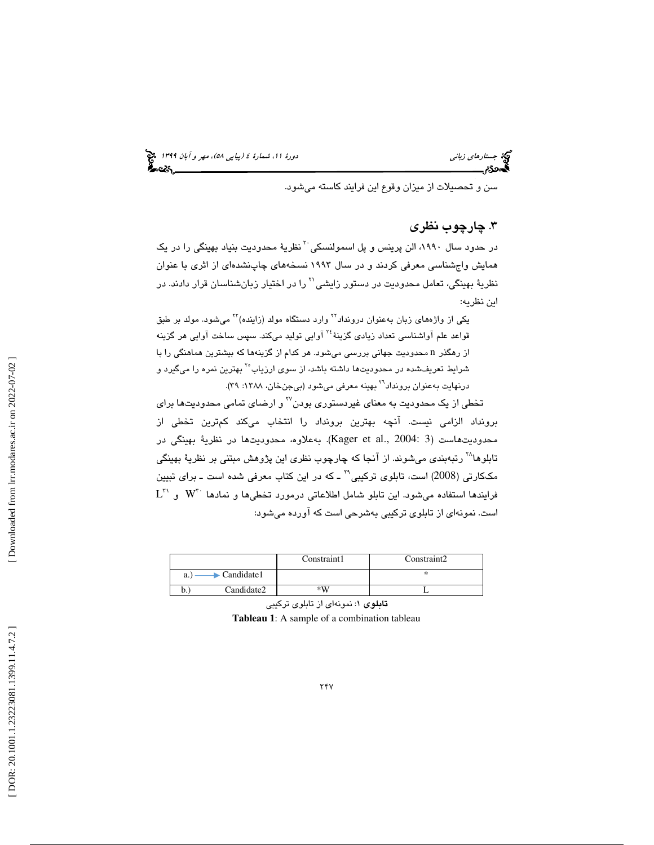سن و تحصيلات از ميزان وقوع اين فرايند كاسته ميشود.

# . چارچوب نظري 3

نز حدود سال ۱۹۹۰، الن پرينس و پل اسمولنسكي<sup>۲۰</sup> نظريهٔ محدوديت بنياد بهينگي را در يک همايش واجشناسي معرفي كردند و در سال 1993 نسخههاي چاپنشدهاي از اثري با عنوان نظريهٔ بهينگي، تعامل محدوديت در دستور زايشي<sup>۲۱</sup> را در اختيار زبانشناسان قرار دادند. در اين نظريه:

يكي از واژههاي زبان بهعنوان درونداد<sup>۲۲</sup> وارد دستگاه مولد (زاينده)<sup>۲۲</sup> مي شود. مولد بر طبق قواعد علم آواشناسي تعداد زيادي گزينهٔ <sup>۲۶</sup> آوايي توليد ميكند. سپس ساخت آوايي هر گزينه از رهگذر n محدوديت جهاني بررسي ميشود. هر كدام از گزينهها كه بيشترين هماهنگي را با شرايط تعريفشده در محدوديتها داشته باشد، از سوي ارزياب<sup>٢٥</sup> بهترين نمره را ميگيرد و درنهايت بهعنوان برونداد<sup>٢٦</sup> بهينه معرفي ميشود (بيجنخان، ١٣٨٨: ٣٩).

تخطي از يک محدوديت به معناي غيردستوري بودن<sup>77</sup> و ارضاي تمامي محدوديتها براي برونداد الزامي نيست. آنچه بهترين برونداد را انتخاب ميكند كمترين تخطي از محدوديتهاست (3 :Kager et al., 2004). به علاوه، محدوديتها در نظرية بهينگي در تابلوها<sup>۲۸</sup> رتبهبندي ميشوند. از آنجا كه چارچوب نظري اين پژوهش مبتني بر نظريهٔ بهينگي مككارتي (2008) است، تابلوي تركيبي<sup>٢٩</sup> ـ كه در اين كتاب معرفي شده است ـ براي تبيين  $\text{L}^{\tau\tau}$  و  $\text{W}^{\tau\tau}$  و  $\text{W}^{\tau\tau}$  ، و نمادها نمادها  $\text{W}^{\tau\tau}$  و نمادها است. نمونهاي از تابلوي تركيبي بهشرحي است كه آورده ميشود:

|    |                                   | Constraint1 | Constraint2 |
|----|-----------------------------------|-------------|-------------|
| a. | $\blacktriangleright$ Candidate 1 |             |             |
| D. | Candidate2                        | $*U$        |             |

تابلوي 1: نمونهاي از تابلوي تركيبي **Tableau 1**: A sample of a combination tableau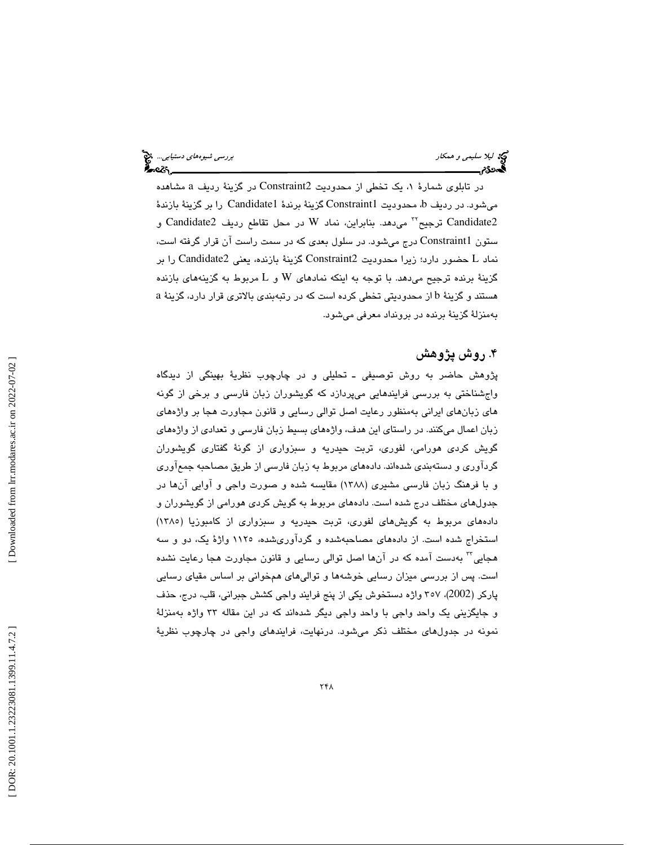ليكا اليلا سليمى و همكار بررسي شيوههاي دستيابي... المجمع المستند و المستند و المستند و المستند و المستند و الم<br>المستند و المستند و المستند و المستند و المستند و المستند و المستند و المستند و المستند و المستند و المستند و

در تابلوی شمارهٔ ۱، یک تخطی از محدودیت Constraint2 در گزینهٔ ردیف a مشاهده میشود. در ردیف b، محدودیت Constraint1 گزینهٔ برندهٔ Candidate1 را بر گزینهٔ بازندهٔ Candidate2 ترجيح™ مىدهد. بنابراين، نماد W در محل تقاطع رديف Candidate2 و ستون 1Constraint درج ميشود. در سلول بعدي كه در سمت راست آن قرار گرفته است، حضور دارد؛ زيرا محدوديت 2Constraint گزينة بازنده، يعني 2Candidate را بر نماد L گزينهٔ برنده ترجيح مي دهد. با توجه به اينكه نمادهاي W و L مربوط به گزينههاي بازنده هستند و گزينهٔ b از محدوديتي تخطي كرده است كه در رتبهبندي بالاتري قرار دارد، گزينهٔ a بهمنزلة گزينة برنده در برونداد معرفي ميشود.

# ۴. روش پژوهش

پژوهش حاضر به روش توصيفي ـ تحليلي و در چارچوب نظرية بهينگي از ديدگاه واجشناختي به بررسي فرايندهايي ميپردازد كه گويشوران زبان فارسي و برخي از گونه هاي زبانهاي ايراني بهمنظور رعايت اصل توالي رسايي و قانون مجاورت هجا بر واژههاي زبان اعمال ميكنند. در راستاي اين هدف، واژههاي بسيط زبان فارسي و تعدادي از واژههاي گويش كردي هورامي، لفوري، تربت حيدريه و سبزواري از گونة گفتاري گويشوران گردآوري و دستهبندي شدهاند. دادههاي مربوط به زبان فارسي از طريق مصاحبه جمعآوري و با فرهنگ زبان فارسي مشيري (1388) مقايسه شده و صورت واجي و آوايي آنها در جدولهاي مختلف درج شده است. دادههاي مربوط به گويش كردي هورامي از گويشوران و دادههاي مربوط به گويشهاي لفوري، تربت حيدريه و سبزواري از كامبوزيا (1385) استخراج شده است. از دادههاي مصاحبهشده و گردآوريشده، 1125 واژة يك، دو و سه هجایی™ بهدست آمده که در آنها اصل توالی رسایی و قانون مجاورت هجا رعایت نشده است. پس از بررسي ميزان رسايي خوشهها و تواليهاي همخواني بر اساس مقياي رسايي پاركر (2002)، 357 واژه دستخوش يكي از پنج فرايند واجي كشش جبراني، قلب، درج، حذف و جايگزيني يك واحد واجي با واحد واجي ديگر شدهاند كه در اين مقاله 33 واژه بهمنزلة نمونه در جدولهاي مختلف ذكر ميشود. درنهايت، فرايندهاي واجي در چارچوب نظرية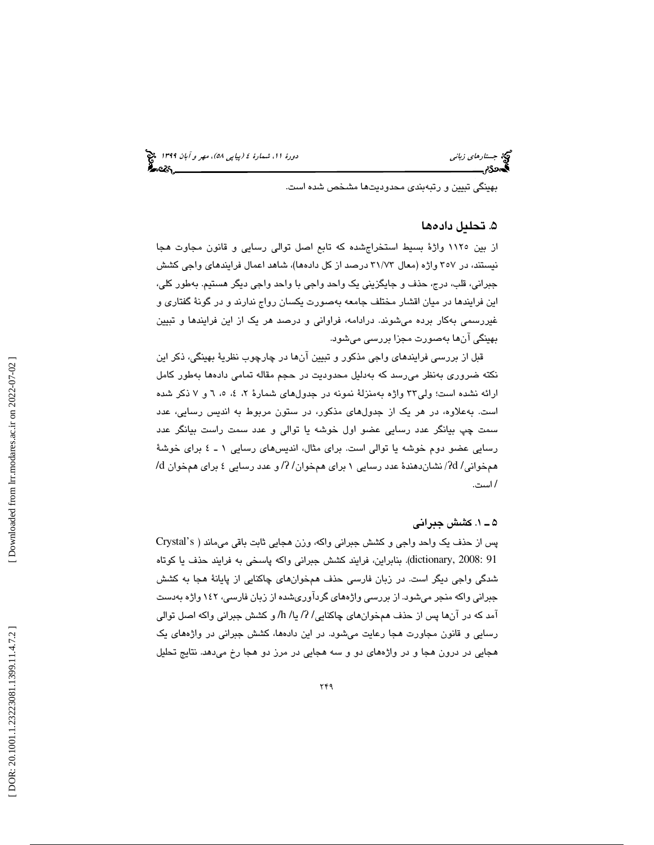بهينگي تبيين و رتبهبندي محدوديتها مشخص شده است.

#### 5. تحليل داده ها

از بين 1125 واژة بسيط استخراجشده كه تابع اصل توالي رسايي و قانون مجاوت هجا نيستند، در 357 واژه (معال 73/ 31 درصد از كل دادهها)، شاهد اعمال فرايندهاي واجي كشش جبراني، قلب، درج، حذف و جايگزيني يك واحد واجي با واحد واجي ديگر هستيم. بهطور كلي، اين فرايندها در ميان اقشار مختلف جامعه بهصورت يكسان رواج ندارند و در گونة گفتاري و غيررسمي بهكار برده ميشوند. درادامه، فراواني و درصد هر يك از اين فرايندها و تبيين بهينگي آنها بهصورت مجزا بررسي ميشود.

قبل از بررسی فرایندهای واجی مذكور و تبیین آنها در چارچوب نظریهٔ بهینگی، ذكر این نكته ضروري بهنظر مي رسد كه بهدليل محدوديت در حجم مقاله تمامي دادهها بهطور كامل ارائه نشده است؛ ولي٢٣ واژه بهمنزلة نمونه در جدولهاي شمارة ٢، ٤، ٥، ٦ و ٧ ذكر شده است. بهعلاوه، در هر يک از جدولهای مذکور، در ستون مربوط به انديس رسايي، عدد سمت چپ بيانگر عدد رسايي عضو اول خوشه يا توالي و عدد سمت راست بيانگر عدد رسايي عضو دوم خوشه يا توالي است. براي مثال، انديسهاي رسايي ١ ـ ٤ براي خوشهٔ  $d$  (می این  $d$ / نشان دهندهٔ عدد رسایی ۱ برای همخوان $\langle R \rangle$  و عدد رسایی ٤ برای همخوان  $d$ است. /

### 1ـ 5 . كشش جبراني

پس از حذف يك واحد واجي و كشش جبراني واكه، وزن هجايي ثابت باقي ميماند ( s'Crystal 91 2008: ,dictionary(. بنابراين، فرايند كشش جبراني واكه پاسخي به فرايند حذف يا كوتاه شدگي واجي ديگر است. در زبان فارسي حذف همخوانهاي چاكنايي از پايانة هجا به كشش جبراني واكه منجر ميشود. از بررسي واژههاي گردآوريشده از زبان فارسي، 142 واژه بهدست آمد كه در آنها پس از حذف همخوانهاي چاكنايي/ ?/ يا/ h/ و كشش جبراني واكه اصل توالي رسايي و قانون مجاورت هجا رعايت ميشود. در اين دادهها، كشش جبراني در واژههاي يك هجايي در درون هجا و در واژههاي دو و سه هجايي در مرز دو هجا رخ ميدهد. نتايج تحليل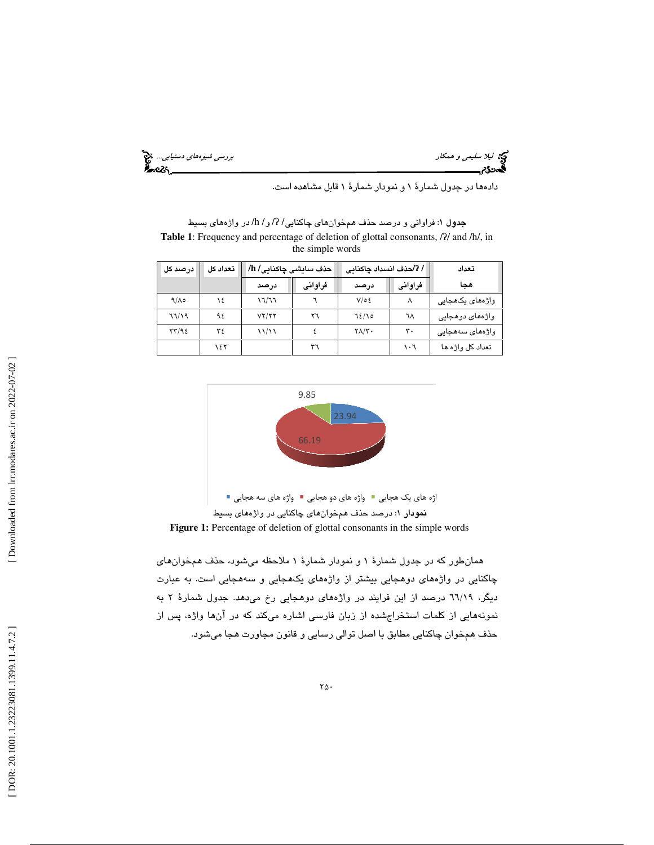ليم كار سليمي و همكار بررسي شيوههاي دستيابي... المجمع المستوى التي يتمتع المستوى التي يتمتع التي يتمتع التي يت<br>المجموع من التي يتمتع التي يتمتع التي يتمتع التي يتمتع التي يتمتع التي يتمتع التي يتمتع التي يتمتع التي يتمتع<br> ×е Е.

دادهها در جدول شمارة 1 و نمودار شمارة 1 قابل مشاهده است.

**جدول ۱**: فراوانی و درصد حذف همخوانهای چاکنایی/ ?/ و / h/ در واژههای بسیط Table 1: Frequency and percentage of deletion of glottal consonants,  $\frac{7}{4}$  and  $\frac{h}{h}$ , in the simple words

| ا درصد کل   | تعداد كل | حذف سایشی چاکنایی/ h/ |         | / ?/حذف انسداد چاکنایی |         | تعداد            |
|-------------|----------|-----------------------|---------|------------------------|---------|------------------|
|             |          | درصد                  | فراوانى | درصد                   | فراوانى | هحا              |
| $9/\lambda$ | ١٤       | ۳۳/٦٦                 |         | $V/\circ \xi$          |         | واڑەھای یکھجایے  |
| 77/19       | ۹٤       | VY/YY                 | ۲٦      | 72/10                  | ٦٨      | واژەھای دوھجايى  |
| YY/92       | ٣٤       | 11/11                 |         | $Y\Lambda/Y$ .         | ٣.      | واژەھای سەھجايى  |
|             | ۱٤٢      |                       | ٣٦      |                        | ۰٦      | تعداد کل واژه ها |



همانطور كه در جدول شمارة 1 و نمودار شمارة 1 ملاحظه ميشود، حذف همخوانهاي چاكنايي در واژههاي دوهجايي بيشتر از واژههاي يكهجايي و سههجايي است. به عبارت ديگر، ٦٦/١٩ درصد از اين فرايند در واژههاي دوهجايي رخ مي هد. جدول شمارهٔ ٢ به نمونههايي از كلمات استخراجشده از زبان فارسي اشاره ميكند كه در آنها واژه، پس از حذف همخوان چاكنايي مطابق با اصل توالي رسايي و قانون مجاورت هجا ميشود.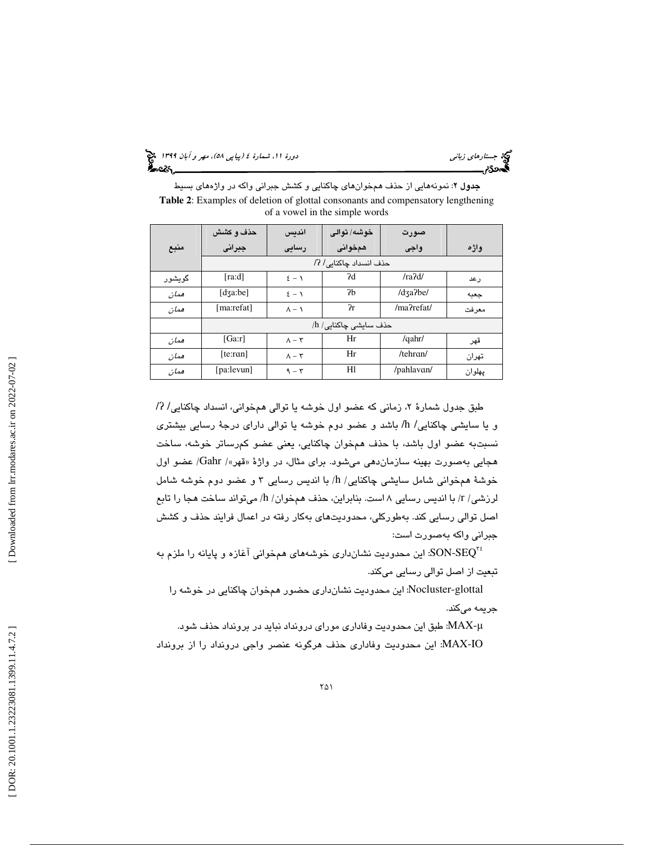(پياپي 58)، مهر و آبان 1399 جستارهاي زباني دورة ،11 شمارة 4

جدول 2: نمونههايي از حذف همخوانهاي چاكنايي و كشش جبراني واكه در واژههاي بسيط **Table 2**: Examples of deletion of glottal consonants and compensatory lengthening of a vowel in the simple words

|          | حذف و كشش                                                                                                                                                                                                                                                                                                                                                                                                                                                                                 | انديس                | خوشه/ توالي            | صورت         |        |  |  |
|----------|-------------------------------------------------------------------------------------------------------------------------------------------------------------------------------------------------------------------------------------------------------------------------------------------------------------------------------------------------------------------------------------------------------------------------------------------------------------------------------------------|----------------------|------------------------|--------------|--------|--|--|
| منبع     | جبرانى                                                                                                                                                                                                                                                                                                                                                                                                                                                                                    | رسایی                | همخوانى                | واجى         | واژه   |  |  |
|          |                                                                                                                                                                                                                                                                                                                                                                                                                                                                                           |                      | حذف انسداد چاکنایی/ ?/ |              |        |  |  |
| گو بشو ر | [ra:d]                                                                                                                                                                                                                                                                                                                                                                                                                                                                                    | $\S - 1$             | ?d                     | /ra2d/       | رعد    |  |  |
| همان     | $\lceil \text{d} \cdot \text{d} \cdot \text{d} \cdot \text{d} \cdot \text{d} \cdot \text{d} \cdot \text{d} \cdot \text{d} \cdot \text{d} \cdot \text{d} \cdot \text{d} \cdot \text{d} \cdot \text{d} \cdot \text{d} \cdot \text{d} \cdot \text{d} \cdot \text{d} \cdot \text{d} \cdot \text{d} \cdot \text{d} \cdot \text{d} \cdot \text{d} \cdot \text{d} \cdot \text{d} \cdot \text{d} \cdot \text{d} \cdot \text{d} \cdot \text{d} \cdot \text{d} \cdot \text{d} \cdot \text{d} \cdot$ | $\S - 1$             | 2 <sub>b</sub>         | /dza?be/     | جعبه   |  |  |
| همان     | [ma:refat]                                                                                                                                                                                                                                                                                                                                                                                                                                                                                | $\Lambda - \Lambda$  | $\gamma_{\rm r}$       | /ma?refat/   | معرفت  |  |  |
|          | حذف سایشی چاکنایی/ h/                                                                                                                                                                                                                                                                                                                                                                                                                                                                     |                      |                        |              |        |  |  |
| همان     | [Ga:r]                                                                                                                                                                                                                                                                                                                                                                                                                                                                                    | $\Lambda - \Upsilon$ | Hr                     | $/$ qahr $/$ | قهر    |  |  |
| همان     | [te:ran]                                                                                                                                                                                                                                                                                                                                                                                                                                                                                  | $\Lambda - \Upsilon$ | Hr                     | /tehran/     | تهران  |  |  |
| همان     | [pa:levun]                                                                                                                                                                                                                                                                                                                                                                                                                                                                                | $9 - 7$              | Hl                     | /pahlavan/   | پهلوان |  |  |

طبق جدول شمارهٔ ۲، زمانی که عضو اول خوشه یا توالی همخوانی، انسداد چاکنایی/ ?/ و يا سايشي چاكنايي/ h/ باشد و عضو دوم خوشه يا توالي داراي درجة رسايي بيشتري نسبتبه عضو اول باشد، با حذف همخوان چاكنايي، يعني عضو كمرساتر خوشه، ساخت هجايي بهصورت بهينه سازمان دهي مي شود. براي مثال، در واژهٔ «قهر»/ Gahr/ عضو اول خوشهٔ همخوانی شامل سایشی چاکنایی/ h/ با اندیس رسایی ۳ و عضو دوم خوشه شامل لرزش*ی| ۲|* با اندیس رسایی ۸ است. بنابراین، حذف همخوان/ h/ میتواند ساخت هجا را تابع اصل توالي رسايي كند. بهطوركلي، محدوديتهاي بهكار رفته در اعمال فرايند حذف و كشش جبراني واكه بهصورت است:

اين محدوديت نشانداري خوشههاي همخواني آغازه و پايانه را ملزم به 35 $\mathrm{SON-SEQ}^{\pi\mathrm{s}}$ تبعيت از اصل توالي رسايي ميكند.

glottal-Nocluster: اين محدوديت نشانداري حضور همخوان چاكنايي در خوشه را جريمه ميكند.

µ-MAX: طبق اين محدوديت وفاداري موراي درونداد نبايد در برونداد حذف شود. IO-MAX: اين محدوديت وفاداري حذف هرگونه عنصر واجي درونداد را از برونداد

Downloaded from lrr.modares.ac.ir on 2022-07-02 ]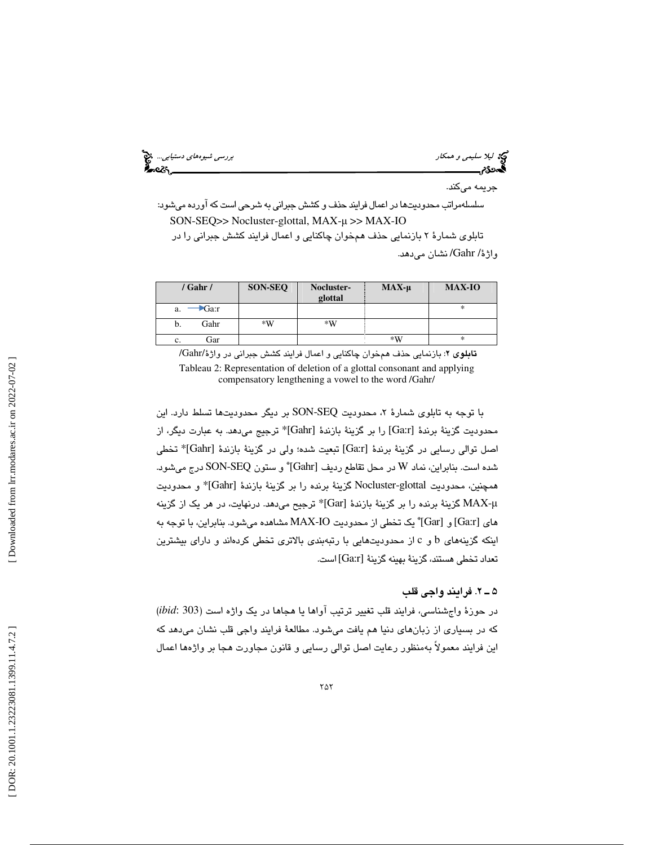ليكا ليلا *سليمى و همكار بررسي شيوههاى دستيابى..*.. وفق<sup>ع</sup><br>الجمهوري بررسي شيوههاي دستيابي... وفقاً بررسي شيوههاي دستيابي... وفقاً بررسي شيوههاي دستيابي... وفق<mark>اً</mark>

جريمه ميكند. سلسلهمراتب محدوديتها در اعمال فرايند حذف و كشش جبراني به شرحي است كه آورده ميشود: SON-SEQ>> Nocluster-glottal, MAX-µ >> MAX-IO

تابلوي شمارة 2 بازنمايي حذف همخوان چاكنايي و اعمال فرايند كشش جبراني را در واژة/ Gahr/ نشان ميدهد.

|    | / Gahr / | <b>SON-SEQ</b> | Nocluster-<br>glottal | $MAX-\mu$ | <b>MAX-IO</b> |
|----|----------|----------------|-----------------------|-----------|---------------|
| a. | Ga:r     |                |                       |           | *             |
| b. | Gahr     | *W             | $*W$                  |           |               |
| c. | Gar      |                |                       | $*W$      | *             |

تابلوي 2: بازنمايي حذف همخوان چاكنايي و اعمال فرايند كشش جبراني در واژة/Gahr/ Tableau 2: Representation of deletion of a glottal consonant and applying compensatory lengthening a vowel to the word /Gahr/

با توجه به تابلوی شمارهٔ ۲، محدودیت SON-SEQ بر دیگر محدودیتها تسلط دارد. این محدوديت گزينة برندة [Ga:r] را بر گزينة بازندة [Gahr]\* ترجيج مي دهد. به عبارت ديگر، از اصل توالي رسايي در گزينة برندة [Ga:r] تبعيت شده؛ ولي در گزينة بازندة [Gahr]\* تخطي شده است. بنابراين، نماد W در محل تقاطع رديف [Gahr]\* و ستون SON-SEQ درج ميشود. همچنين، محدوديت Nocluster-glottal گزينة برنده را بر گزينة بازندة [Gahr]\* و محدوديت µ-MAX گزينة برنده را بر گزينة بازندة [Gar \*[ترجيح ميدهد. درنهايت، در هر يك از گزينه [Gar] و] Ga:r] هاي \* يك تخطي از محدوديت IO-MAX مشاهده ميشود. بنابراين، با توجه به اينكه گزينههاي b و c از محدوديتهايي با رتبهبندي بالاتري تخطي كردهاند و داراي بيشترين تعداد تخطي هستند، گزينة بهينه گزينة [r:Ga [است.

### 2ـ 5 . فرايند واجي قلب

در حوزة واجشناسي، فرايند قلب تغيير ترتيب آواها يا هجاها در يك واژه است (303 :*ibid* ( كه در بسياري از زبانهاي دنيا هم يافت ميشود. مطالعة فرايند واجي قلب نشان ميدهد كه اين فرايند معمولاً بهمنظور رعايت اصل توالي رسايي و قانون مجاورت هجا بر واژهها اعمال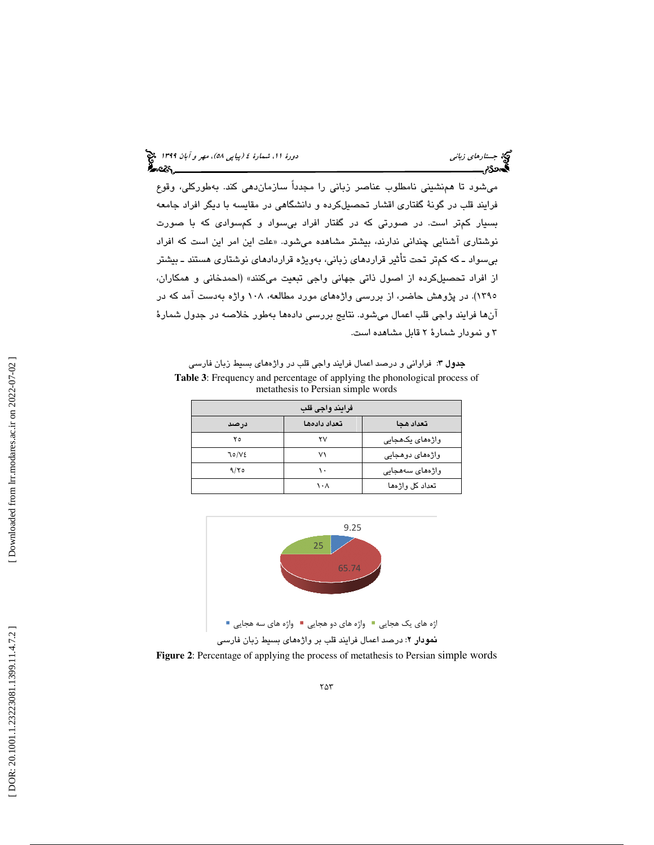ميشود تا همنشيني نامطلوب عناصر زباني را مجدداً سازماندهي كند. بهطوركلي، وقوع فرايند قلب در گونة گفتاري اقشار تحصيلكرده و دانشگاهي در مقايسه با ديگر افراد جامعه بسيار كمتر است. در صورتي كه در گفتار افراد بيسواد و كمسوادي كه با صورت نوشتاری آشنایی چندانی ندارند، بیشتر مشاهده میشود. «علت این امر این است که افراد بيسواد ـ كه كمتر تحت تأثير قراردهاي زباني، بهويژه قراردادهاي نوشتاري هستند ـ بيشتر از افراد تحصيلكرده از اصول ذاتي جهاني واجي تبعيت ميكنند» (احمدخاني و همكاران، 1395). در پژوهش حاضر، از بررسي واژههاي مورد مطالعه، 108 واژه بهدست آمد كه در آنها فرايند واجي قلب اعمال ميشود. نتايج بررسي دادهها بهطور خلاصه در جدول شمارة 3 و نمودار شمارة 2 قابل مشاهده است.

جدول 3: فراواني و درصد اعمال فرايند واجي قلب در واژههاي بسيط زبان فارسي **Table 3**: Frequency and percentage of applying the phonological process of metathesis to Persian simple words

| فرايند واجى قلب |              |                 |  |  |  |  |
|-----------------|--------------|-----------------|--|--|--|--|
| درصد            | تعداد دادهها | تعداد هحا       |  |  |  |  |
| ۲٥              | ۲V           | واژەھای پکھجایی |  |  |  |  |
| 70/VE           | ۷١           | واژەھای دوھجايى |  |  |  |  |
| 9/80            | ١.           | واژەھای سەھجايى |  |  |  |  |
|                 | ۱۰۸          | تعداد کل واژهها |  |  |  |  |

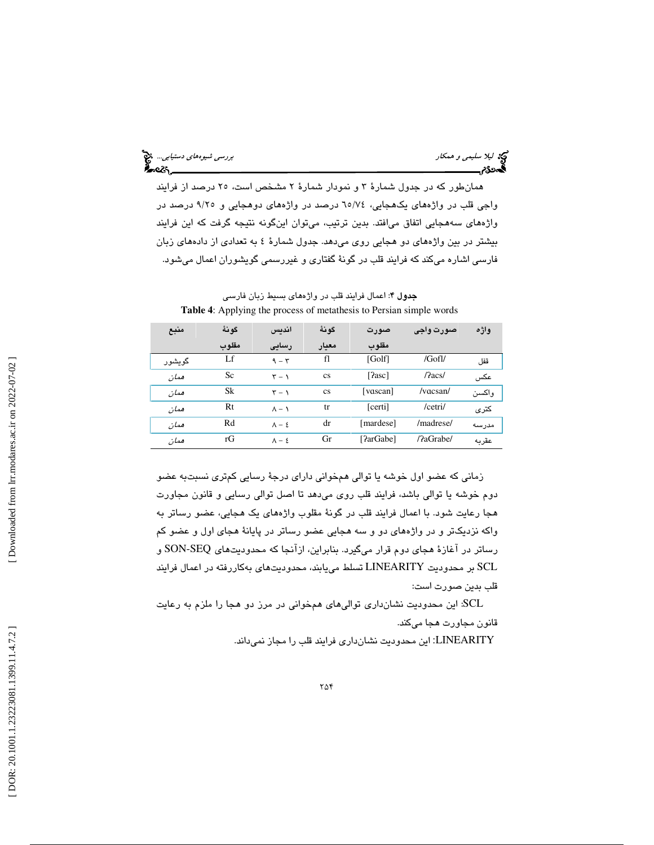ليلا سليمي و همكار بررسي شيوههاي دستيابي.... المجمع المستوى المستوى المستوى المستوى المستوى المستوى المستوى ال<br>المستوى المستوى المستوى المستوى المستوى المستوى المستوى المستوى المستوى المستوى المستوى المستوى المستوى المستو <u>ક્રિસ્ટર, \_</u>

همانطور كه در جدول شمارة 3 و نمودار شمارة 2 مشخص است، 25 درصد از فرايند واجي قلب در واژههاي يكهجايي، 74/ 65 درصد در واژههاي دوهجايي و 25/9 درصد در واژههاي سههجايي اتفاق ميافتد. بدين ترتيب، ميتوان اينگونه نتيجه گرفت كه اين فرايند بيشتر در بين واژههاي دو هجايي روي ميدهد. جدول شمارة 4 به تعدادي از دادههاي زبان فارسي اشاره ميكند كه فرايند قلب در گونة گفتاري و غيررسمي گويشوران اعمال ميشود.

| منبع     | گو نهٔ | اندىس                     | گونهٔ     | صورت         | صورت واجي                     | واژه   |
|----------|--------|---------------------------|-----------|--------------|-------------------------------|--------|
|          | مقلوب  | رسایی                     | معيار     | مقلوب        |                               |        |
| گو بشو ر | Lf     | $9 - 5$                   | fl        | [Golf]       | /Gofl/                        | قفل    |
| همان     | Sc     | $\mathbf{r} - \mathbf{v}$ | <b>CS</b> | $[?$ asc $]$ | /2acs/                        | عكس    |
| همان     | Sk     | $\mathbf{r}-\mathbf{v}$   | <b>CS</b> | [vascan]     | $/\text{vac}$ san $/\text{d}$ | وإكسين |
| همان     | Rt     | $\Lambda - \Lambda$       | tr        | [certi]      | /cetri/                       | كترى   |
| ممان     | Rd     | $\Lambda - 2$             | dr        | [mardese]    | /madrese/                     | مدرسه  |
| همان     | rG     | $\Lambda - \xi$           | Gr        | [?arGabe]    | /?aGrabe/                     | عقربه  |

جدول 4: اعمال فرايند قلب در واژههاي بسيط زبان فارسي **Table 4**: Applying the process of metathesis to Persian simple words

زماني كه عضو اول خوشه يا توالي همخواني داراي درجة رسايي كمتري نسبتبه عضو دوم خوشه يا توالي باشد، فرايند قلب روي ميدهد تا اصل توالي رسايي و قانون مجاورت هجا رعايت شود. با اعمال فرايند قلب در گونة مقلوب واژههاي يك هجايي، عضو رساتر به واكه نزديكتر و در واژههاي دو و سه هجايي عضو رساتر در پايانة هجاي اول و عضو كم رساتر در آغازة هجاي دوم قرار ميگيرد. بنابراين، ازآنجا كه محدوديتهاي SEQ-SON و SCL بر محدوديت LINEARITY تسلط مييابند، محدوديتهاي بهكاررفته در اعمال فرايند قلب بدين صورت است:

SCL: اين محدوديت نشانداري تواليهاي همخواني در مرز دو هجا را ملزم به رعايت قانون مجاورت هجا ميكند.

LINEARITY: اين محدوديت نشانداري فرايند قلب را مجاز نميداند.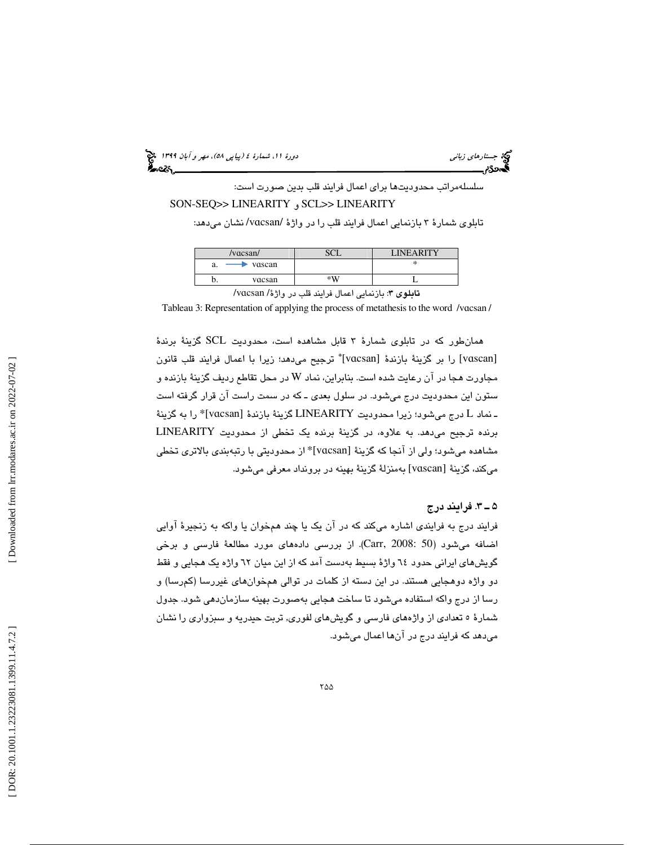(پياپي 58)، مهر و آبان 1399 جستارهاي زباني دورة ،11 شمارة 4

سلسلهمراتب محدوديتها براي اعمال فرايند قلب بدين صورت است: SON-SEQ>> LINEARITY و SCL>> LINEARITY

تابلوی شمارهٔ ۳ بازنمایی اعمال فرایند قلب را در واژهٔ /vɑcsan/ نشان میدهد:

|    | /vacsan/                      |                                                                                                                                                                                                                                   | <b>LINEARITY</b> |
|----|-------------------------------|-----------------------------------------------------------------------------------------------------------------------------------------------------------------------------------------------------------------------------------|------------------|
| a. | vascan                        |                                                                                                                                                                                                                                   | ∗                |
|    | vacsan                        | $*W$                                                                                                                                                                                                                              |                  |
|    | $\mathbf{1} \cdot \mathbf{1}$ | $\mathbf{a}$ . The set of the set of the set of the set of the set of the set of the set of the set of the set of the set of the set of the set of the set of the set of the set of the set of the set of the set of the set of t |                  |

/v تابلوي 3: بازنمايي اعمال فرايند قلب در واژة/ ɑcsan

Tableau 3: Representation of applying the process of metathesis to the word /v ɑcsan /

همانطور كه در تابلوي شمارة 3 قابل مشاهده است، محدوديت SCL گزينة برندة [vascan] را بر گزينهٔ بازندهٔ [vacsan]" ترجيح مي دهد؛ زيرا با اعمال فرايند قلب قانون مجاورت هجا در آن رعايت شده است. بنابراين، نماد W در محل تقاطع رديف گزينهٔ بازنده و ستون اين محدوديت درج ميشود. در سلول بعدي ـ كه در سمت راست آن قرار گرفته است ـ نماد L درج میشود؛ زیرا محدودیت LINEARITY گزینهٔ بازندهٔ [vɑcsan]\* را به گزینهٔ برنده ترجيح ميدهد. به علاوه، در گزينة برنده يك تخطي از محدوديت LINEARITY مشاهده میشود؛ ولی از آنجا که گزینهٔ [vɑcsan]\* از محدودیتی با رتبهبندی بالاتری تخطی ميكند، گزينهٔ [vɑscan] بهمنزلهٔ گزينهٔ بهينه در برونداد معرفي ميشود.

#### 3ـ 5 . فرايند درج

فرايند درج به فرايندي اشاره ميكند كه در آن يك يا چند همخوان يا واكه به زنجيرة آوايي اضافه ميشود (50 2008: ,Carr(. از بررسي دادههاي مورد مطالعة فارسي و برخي گويشهاي ايراني حدود 64 واژة بسيط بهدست آمد كه از اين ميان 62 واژه يك هجايي و فقط دو واژه دوهجايي هستند. در اين دسته از كلمات در توالي همخوانهاي غيررسا (كمرسا) و رسا از درج واكه استفاده ميشود تا ساخت هجايي بهصورت بهينه سازماندهي شود. جدول شمارة 5 تعدادي از واژههاي فارسي و گويشهاي لفوري, تربت حيدريه و سبزواري را نشان ميدهد كه فرايند درج در آنها اعمال ميشود.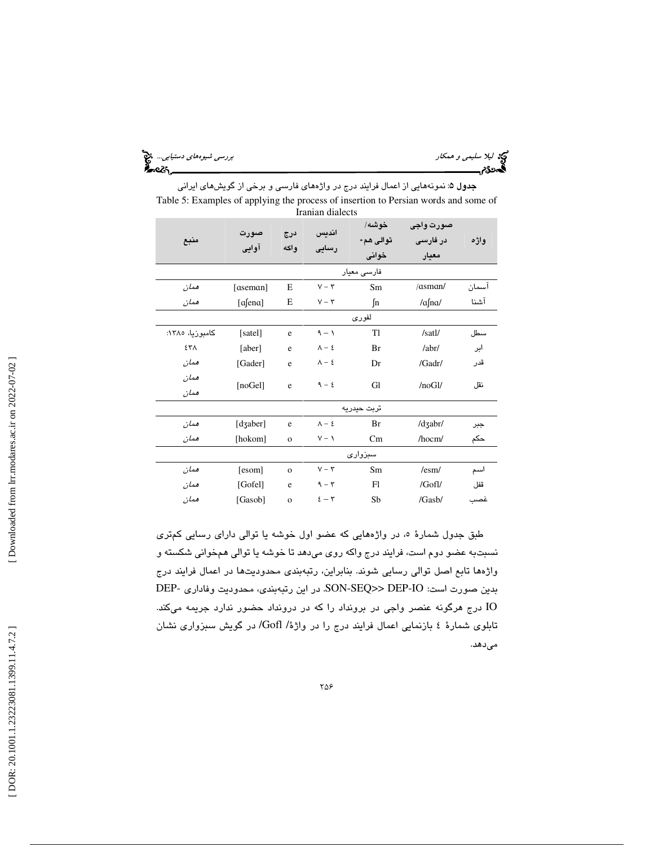ليلا سليمي و همكار بررسي شيوههاي دستيابي...

| کیج ا <i>لیلا سلیمی و همکار</i><br>ا <b>گ</b> دیگر مستسسست |  |
|------------------------------------------------------------|--|
|                                                            |  |

| <b>جدول ۵</b> : نمونههایی از اعمال فرایند درج در واژههای فارسی و برخی از گویشهای ایرانی |
|-----------------------------------------------------------------------------------------|
| Table 5: Examples of applying the process of insertion to Persian words and some of     |
| Iranian dialects                                                                        |

| منبع            | صورت<br>آوايي | درج<br>وإكه    | انديس<br>رسایی      | خوشه/<br>توالی هم-<br>خوانى | صورت وأجى<br>در فارسی<br>معيار | واژه  |
|-----------------|---------------|----------------|---------------------|-----------------------------|--------------------------------|-------|
|                 |               |                |                     | فارسی معیار                 |                                |       |
| همان            | [aseman]      | Е              | $V - \tau$          | Sm                          | /asman/                        | آسمان |
| همان            | [afena]       | E              | $V - \tau$          | $\int$ n                    | $/a$ fna                       | آشنا  |
|                 |               |                |                     | لفورى                       |                                |       |
| كامىوزىا، ١٣٨٥: | [satel]       | e              | $\eta - \eta$       | T1                          | /satl/                         | سطل   |
| ٤٣٨             | [aber]        | e              | $\Lambda  \epsilon$ | Br                          | /abr/                          | ابر   |
| همان            | [Gader]       | e              | $\Lambda - \xi$     | Dr                          | /Gadr/                         | قدر   |
| همان<br>همان    | [noGel]       | e              | $9 - 2$             | Gl                          | /noGl/                         | نقل   |
|                 |               |                |                     | تربت حيدريه                 |                                |       |
| همان            | [dʒaber]      | e              | $\Lambda - \xi$     | Br                          | /dʒabr/                        | ڄبر   |
| ممان            | [hokom]       | $\mathbf{o}$   | $V - 1$             | Cm                          | $/$ hocm $/$                   | حكم   |
|                 |               |                |                     | سبزوارى                     |                                |       |
| همان            | [esom]        | $\mathbf{o}$   | $V - \tau$          | Sm                          | /esm/                          | اسم   |
| همان            | [Gofel]       | e              | $9 - 7$             | Fl                          | /Gofl/                         | قفل   |
| همان            | [Gasob]       | $\overline{O}$ | $2-\tau$            | Sb                          | /Gasb/                         | غصب   |

طبق جدول شمارهٔ ٥، در واژههایی كه عضو اول خوشه یا توالی دارای رسایی كمتری نسبتبه عضو دوم است، فرايند درج واكه روي ميدهد تا خوشه يا توالي همخواني شكسته و واژهها تابع اصل توالي رسايي شوند. بنابراين، رتبهبندي محدوديتها در اعمال فرايند درج بدين صورت است: IO-DEP>> SEQ-SON. در اين رتبهبندي، محدوديت وفاداري -DEP IO درج هرگونه عنصر واجي در برونداد را كه در درونداد حضور ندارد جريمه ميكند. تابلوي شمارة 4 بازنمايي اعمال فرايند درج را در واژة/ Gofl/ در گويش سبزواري نشان ميدهد.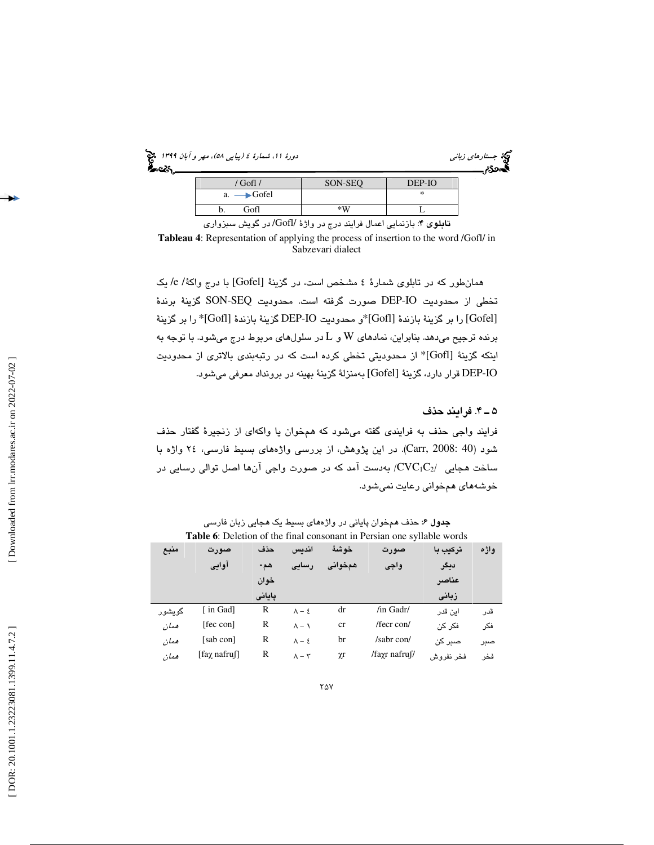(پياپي 58)، مهر و آبان 1399 جستارهاي زباني دورة ،11 شمارة 4

| می جستارهای زبانی<br><b>ک</b> هه&ته |  |
|-------------------------------------|--|
|                                     |  |

| $'$ Gofl $\prime$                                         | SON-SEO | DEP-IO |
|-----------------------------------------------------------|---------|--------|
| $a. \longrightarrow$ Gofel                                |         | *      |
| Gofl                                                      | ∗W      |        |
| $\sim$ $\sim$ $\sim$<br><b>Contract Contract Contract</b> |         |        |

تابلوي 4: بازنمايي اعمال فرايند درج در واژة /Gofl/ در گويش سبزواري **Tableau 4**: Representation of applying the process of insertion to the word /Gofl/ in Sabzevari dialect

همانطور كه در تابلوي شمارة 4 مشخص است، در گزينة [Gofel [با درج واكة/ e/ يك تخطي از محدوديت IO-DEP صورت گرفته است. محدوديت SEQ-SON گزينة برندة [Gofel [را بر گزينة بازندة [Gofl\*[و محدوديت IO-DEP گزينة بازندة [Gofl \*[را بر گزينة برنده ترجیح میدهد. بنابراین، نمادهای W و L در سلولهای مربوط درج میشود. با توجه به اينكه گزينهٔ [Gofl]\* از محدوديتي تخطي كرده است كه در رتبهبندي بالاتري از محدوديت IO-DEP قرار دارد، گزينة [Gofel [به منزلة گزينة بهينه در برونداد معرفي ميشود.

4ـ 5 . فرايند حذف

فرايند واجي حذف به فرايندي گفته ميشود كه همخوان يا واكهاي از زنجيرة گفتار حذف شود (40 2008: ,Carr(. در اين پژوهش، از بررسي واژههاي بسيط فارسي، 24 واژه با ساخت هجایی  $\mathrm{CVC}_1\mathrm{C}_2$ / بهدست آمد که در صورت واجی آنها اصل توالی رسایی در خوشههاي همخواني رعايت نميشود.

|        | <b>Tuble</b> 0. Deletion of the final consolidity in I croidle of the symallic words |        |                      |          |                     |           |      |
|--------|--------------------------------------------------------------------------------------|--------|----------------------|----------|---------------------|-----------|------|
| منبع   | صورت                                                                                 | حذف    | اندىس                | خو شبهٔ  | صورت                | ترکیب با  | واژه |
|        | آوايي                                                                                | هم-    | رسایی                | همخواني  | واجى                | ديگر      |      |
|        |                                                                                      | خوان   |                      |          |                     | عناصر     |      |
|        |                                                                                      | يايانى |                      |          |                     | زبانى     |      |
| گويشور | [ in Gad]                                                                            | R      | $\Lambda - \xi$      | dr       | /in Gadr/           | اىن قدر   | قدر  |
| همان   | [fec con]                                                                            | R      | $\Lambda - \Lambda$  | cr       | /fecr con/          | فكر كن    | فكر  |
| همان   | [sab con]                                                                            | R      | $\Lambda - \xi$      | br       | /sabr con/          | صبر کن    | صبر  |
| همان   | $\lceil \text{fay} \rangle$ nafru $\lceil \cdot \rceil$                              | R      | $\Lambda - \Upsilon$ | $\chi$ r | /fayr nafru $\beta$ | فخر نفروش | فخر  |

**7۵** 

**جدول ۶**: حذف همخوان پاياني در واژههاي بسيط يک هجايي زبان فارسي **Table 6**: Deletion of the final consonant in Persian one syllable words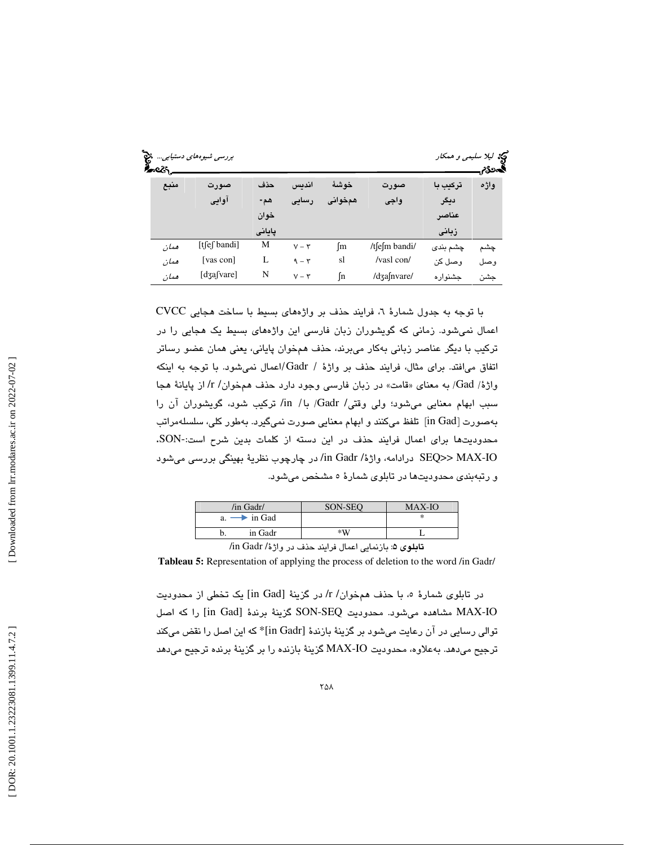| જે | ≁વ્હ | بررسی شیوههای دستیابی |        |            |         |               |          | <b>کیج</b> لیلا سلیم <i>ی و همکار</i><br>المحكام |
|----|------|-----------------------|--------|------------|---------|---------------|----------|--------------------------------------------------|
|    | منبع | صورت                  | حذف    | اندىس      | خو شئ   | صورت          | ترکیب با | واژه                                             |
|    |      | آوايي                 | هم-    | رسایی      | همخواني | واجى          | ديگر     |                                                  |
|    |      |                       | خوان   |            |         |               | عناصر    |                                                  |
|    |      |                       | پایانی |            |         |               | زبانى    |                                                  |
|    | همان | $[t]$ ef bandi]       | М      | $V - \tau$ | ſm      | /tfefm bandi/ | چشم بندی | چشم                                              |
|    | همان | [vas con]             | L      | $9 - 7$    | sl      | /vasl con/    | وصل کن   | وحيل                                             |
|    | همان | $[d3a$ [vare]         | N      | $V - \tau$ | ſn      | /dʒafnvare/   | جشنواره  | حشن                                              |

با توجه به جدول شمارهٔ ٦، فرایند حذف بر واژههای بسیط با ساخت هجایی CVCC اعمال نميشود. زماني كه گويشوران زبان فارسي اين واژههاي بسيط يك هجايي را در تركيب با ديگر عناصر زباني بهكار ميبرند، حذف همخوان پاياني، يعني همان عضو رساتر اتفاق میافتد. برای مثال، فرایند حذف بر واژهٔ / Gadr /اعمال نمیشود. با توجه به اینکه واژهٔ/ Gad) به معنای «قامت» در زبان فارسی وجود دارد حذف همخوان/ r/ از پایانهٔ هجا سبب ابهام معنايي ميشود؛ ولي وقتي/ Gadr/ با/ in/ تركيب شود، گويشوران آن را بهصورت [in Gad] تلفظ مىكنند و ابهام معنايى صورت نمىگيرد. بهطور كلي، سلسلهمراتب محدوديتها براي اعمال فرايند حذف در اين دسته از كلمات بدين شرح است-:SON. IO-MAX>> SEQ درادامه، واژة/ Gadr in/ در چارچوب نظرية بهينگي بررسي ميشود و رتبهبندي محدوديتها در تابلوي شمارة 5 مشخص ميشود.

| /in Gadr/                                    | SON-SEO | <b>MAX-IO</b> |  |  |  |  |
|----------------------------------------------|---------|---------------|--|--|--|--|
| $a \rightarrow \infty$ in Gad                |         |               |  |  |  |  |
| in Gadr                                      | $*W$    |               |  |  |  |  |
| $\mathbf{r}$ $\sim$ $\mathbf{r}$ $\sim$<br>. |         |               |  |  |  |  |

تابلوی ۵: بازنمایی اعمال فرایند حذف در واژهٔ/ in Gadr/

**Tableau 5:** Representation of applying the process of deletion to the word /in Gadr/

در تابلوی شمارهٔ ۰، با حذف همخوان/ r/ در گزینهٔ [in Gad] یک تخطی از محدودیت IO-MAX مشاهده ميشود. محدوديت SEQ-SON گزينة برندة [Gad in [را كه اصل توالي رسايي در آن رعايت ميشود بر گزينة بازندة [Gadr in \*[كه اين اصل را نقض ميكند ترجيح ميدهد. بهعلاوه، محدوديت IO-MAX گزينة بازنده را بر گزينة برنده ترجيح ميدهد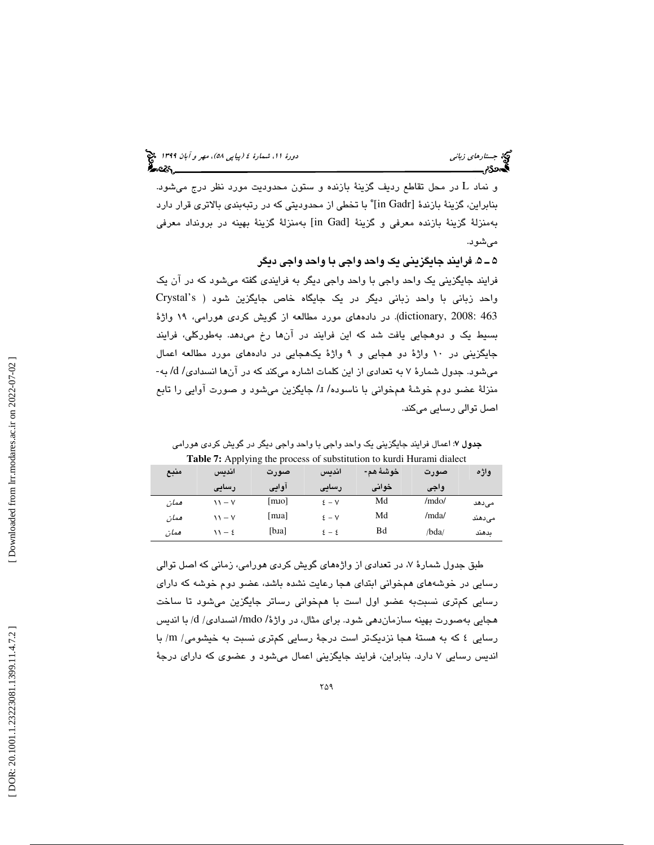در محل تقاطع رديف گزينة بازنده و ستون محدوديت مورد نظر درج ميشود. و نماد L بنابراين، گزينهٔ بازندهٔ [in Gadr] ٌ با تخطی از محدودیتی که در رتبهبندی بالاتری قرار دارد بهمنزلة گزينة بازنده معرفي و گزينة [Gad in [به منزلة گزينة بهينه در برونداد معرفي ميشود.

5ـ 5 . فرايند جايگزيني يك واحد واجي با واحد واجي ديگر

فرايند جايگزيني يك واحد واجي با واحد واجي ديگر به فرايندي گفته ميشود كه در آن يك واحد زباني با واحد زباني ديگر در يك جايگاه خاص جايگزين شود ( s'Crystal dictionary, 2008: 463). در دادههاي مورد مطالعه از گويش كردي هورامي، ١٩ واژهٔ بسيط يك و دوهجايي يافت شد كه اين فرايند در آنها رخ ميدهد. بهطوركلي، فرايند جايگزينی در ۱۰ واژهٔ دو هجايی و ۹ واژهٔ يکهجايی در دادههای مورد مطالعه اعمال<br>میشود. جدول شمارهٔ ۷ به تعدادی از این کلمات اشاره میکند که در آنها انسدادی/ d/ به-منزلهٔ عضو دوم خوشهٔ همخوانی با ناسوده/ I/ جایگزین میشود و صورت آوایی را تابع اصل توالي رسايي ميكند.

جدول 7: اعمال فرايند جايگزيني يك واحد واجي با واحد واجي ديگر در گويش كردي هورامي **Table 7:** Applying the process of substitution to kurdi Hurami dialect

| منبع | اندىس                     | صورت                       | انديس    | خوشهٔ هم- | صورت  | واژه   |
|------|---------------------------|----------------------------|----------|-----------|-------|--------|
|      | رسایی                     | أوايي                      | رسایی    | خواني     | واجى  |        |
| همان | $\mathcal{N}-\mathcal{N}$ | $\lceil \text{mio} \rceil$ | $\S - V$ | Md        | /mdo/ | مى دھد |
| ممان | $11 - V$                  | [mia]                      | $5 - V$  | Md        | /mda/ | مىدھند |
| همان | $11 - 2$                  | [b.a]                      | $2 - 2$  | Bd        | /bda/ | ىدھند  |

طبق جدول شمارهٔ ۷، در تعدادی از واژههای گویش کردی هورامی، زمانی که اصل توالی رسايي در خوشههاي همخواني ابتداي هجا رعايت نشده باشد، عضو دوم خوشه كه داراي رسايي كمتري نسبتبه عضو اول است با همخواني رساتر جايگزين ميشود تا ساخت هجايي بهصورت بهينه سازماندهي شود. براي مثال، در واژهٔ/ mdo/ انسدادي/ d/ با انديس رسايي ٤ كه به هستة هجا نزديكتر است درجة رسايي كمترى نسبت به خيشومي/ m/ با انديس رسايي 7 دارد. بنابراين، فرايند جايگزيني اعمال ميشود و عضوي كه داراي درجة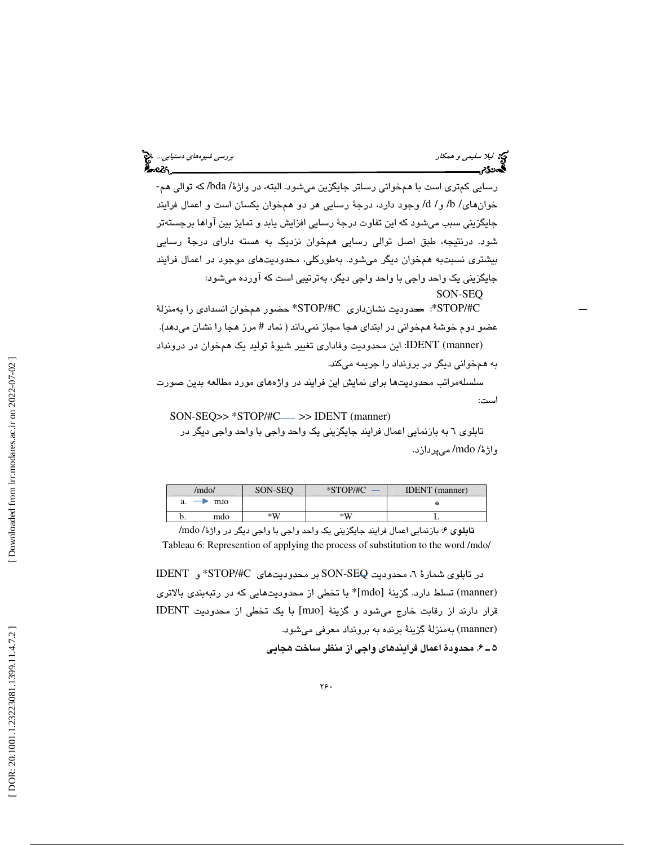ليكا الميلا سليمى و همكار بررسي شيوههاى دستيابي.... الميلاد المستوى و همكار بررسي شيوههاى دستيابي.... الميلاد<br>المستوى المستوى المستوى المستوى المستوى المستوى المستوى المستوى المستوى المستوى المستوى المستوى المستوى المستو<br>

رسايي كمتري است با همخواني رساتر جايگزين ميشود. البته، در واژة/ bda/ كه توالي هم- خوانهاي/ b/ و/ d/ وجود دارد، درجهٔ رسايي هر دو همخوان يكسان است و اعمال فرايند جايگزيني سبب ميشود كه اين تفاوت درجة رسايي افزايش يابد و تمايز بين آواها برجستهتر شود. درنتيجه، طبق اصل توالي رسايي همخوان نزديك به هسته داراي درجة رسايي بيشتري نسبتبه همخوان ديگر ميشود. بهطوركلي، محدوديتهاي موجود در اعمال فرايند جايگزيني يك واحد واجي با واحد واجي ديگر، بهترتيبي است كه آورده ميشود: SON-SEQ

 C/#STOP\*: محدوديت نشانداري C/#STOP \*حضور همخوان انسدادي را بهمنزلة عضو دوم خوشهٔ همخوانی در ابتدای هجا مجاز نمیداند ( نماد # مرز هجا را نشان میدهد). (manner (IDENT: اين محدوديت وفاداري تغيير شيوة توليد يك همخوان در درونداد به همخواني ديگر در برونداد را جريمه ميكند.

سلسلهمراتب محدوديتها براي نمايش اين فرايند در واژههاي مورد مطالعه بدين صورت است:

 $SON-SEQ>> *STOP/#C \longrightarrow$  > IDENT (manner)

تابلوي 6 به بازنمايي اعمال فرايند جايگزيني يك واحد واجي با واحد واجي ديگر در واژة/ mdo/ ميپردازد.

| /mdo/ |     | SON-SEO | $*STOP/HC$ | <b>IDENT</b> (manner) |
|-------|-----|---------|------------|-----------------------|
| a.    | mio |         |            | 崇                     |
|       | mdo | $*W$    | $*W$       |                       |

تابلوي 6: بازنمايي اعمال فرايند جايگزيني يك واحد واجي با واجي ديگر در واژة/ mdo/ Tableau 6: Represention of applying the process of substitution to the word /mdo/

در تابلوی شمارهٔ ٦، محدودیت SON-SEQ بر محدودیتهای STOP/#C\* و IDENT (manner) تسلط دارد. گزينة [mdo]\* با تخطي از محدوديتهايي كه در رتبهبندي بالاتري قرار دارند از رقابت خارج ميشود و گزينة [mɹo [با يك تخطي از محدوديت IDENT (manner) به منزلة گزينة برنده به برونداد معرفي ميشود. 6ـ 5 . محدودة اعمال فرايندهاي واجي از منظر ساخت هجايي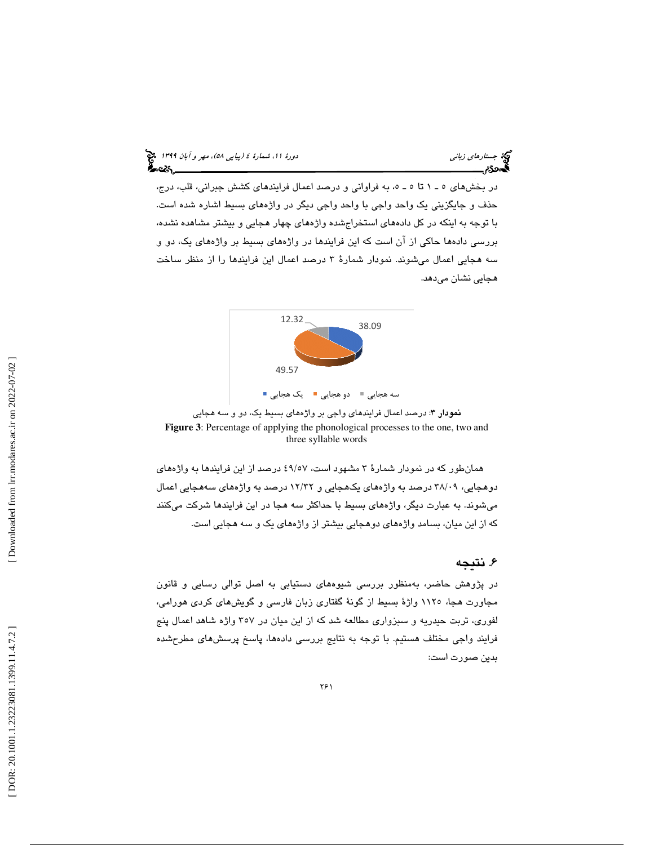در بخشهاي 1ـ 5 تا 5ـ 5 ، به فراواني و درصد اعمال فرايندهاي كشش جبراني، قلب، درج، حذف و جايگزيني يك واحد واجي با واحد واجي ديگر در واژههاي بسيط اشاره شده است. با توجه به اينكه در كل دادههاي استخراجشده واژههاي چهار هجايي و بيشتر مشاهده نشده، بررسي دادهها حاكي از آن است كه اين فرايندها در واژههاي بسيط بر واژههاي يك، دو و سه هجايي اعمال ميشوند. نمودار شمارة 3 درصد اعمال اين فرايندها را از منظر ساخت هجايي نشان ميدهد.



نمودار 3: درصد اعمال فرايندهاي واجي بر واژههاي بسيط يك، دو و سه هجايي **Figure 3**: Percentage of applying the phonological processes to the one, two and three syllable words

همانطور كه در نمودار شمارة 3 مشهود است، 57/ 49 درصد از اين فرايندها به واژههاي دوهجايي، 09/ 38 درصد به واژههاي يكهجايي و 32/ 12 درصد به واژههاي سههجايي اعمال ميشوند. به عبارت ديگر، واژههاي بسيط با حداكثر سه هجا در اين فرايندها شركت ميكنند كه از اين ميان، بسامد واژههاي دوهجايي بيشتر از واژههاي يك و سه هجايي است.

# . نتيجه 6

در پژوهش حاضر، بهمنظور بررسي شيوههاي دستيابي به اصل توالي رسايي و قانون مجاورت هجا، 1125 واژة بسيط از گونة گفتاري زبان فارسي و گويشهاي كردي هورامي، لفوري، تربت حيدريه و سبزواري مطالعه شد كه از اين ميان در 357 واژه شاهد اعمال پنج فرايند واجي مختلف هستيم. با توجه به نتايج بررسي دادهها، پاسخ پرسشهاي مطر حشده بدين صورت است: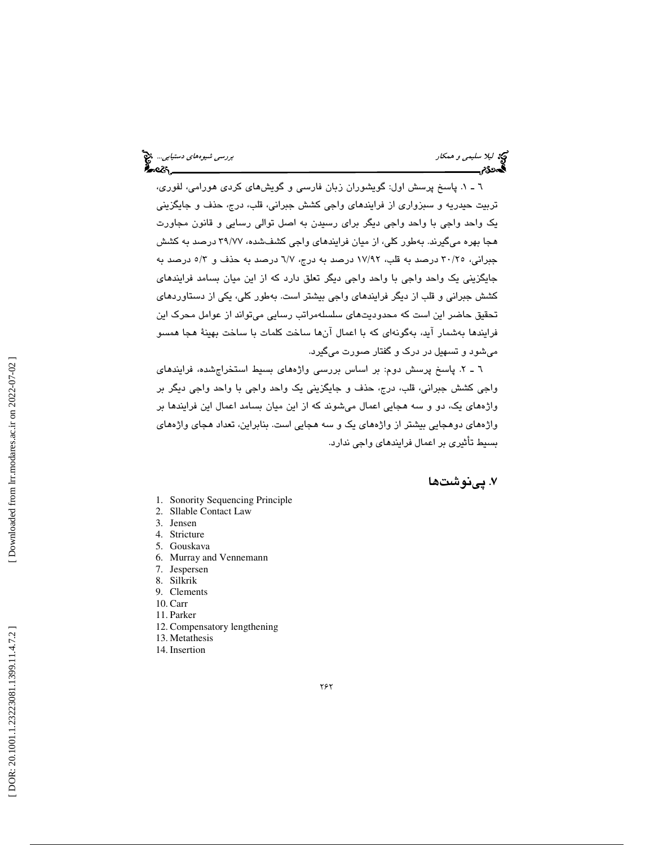ليكا الميلا سليمى و همكار بررسي شيوههاى دستيابي.... الميلاد المستوى و همكار بررسي شيوههاى دستيابي.... الميلاد<br>المستوى المستوى المستوى المستوى المستوى المستوى المستوى المستوى المستوى المستوى المستوى المستوى المستوى المستو<br> ક્રિપ્ટૅ**ક્ર** 

1ـ 6 . پاسخ پرسش اول: گويشوران زبان فارسي و گويشهاي كردي هورامي، لفوري، تربيت حيدريه و سبزواري از فرايندهاي واجي كشش جبراني، قلب، درج، حذف و جايگزيني يك واحد واجي با واحد واجي ديگر براي رسيدن به اصل توالي رسايي و قانون مجاورت هجا بهره ميگيرند. بهطور كلي، از ميان فرايندهاي واجي كشفشده، 77/ 39 درصد به كشش جبراني، 25/ 30 درصد به قلب، 92/ 17 درصد به درج، 7/6 درصد به حذف و 3/5 درصد به جايگزيني يك واحد واجي با واحد واجي ديگر تعلق دارد كه از اين ميان بسامد فرايندهاي كشش جبراني و قلب از ديگر فرايندهاي واجي بيشتر است. بهطور كلي، يكي از دستاوردهاي تحقيق حاضر اين است كه محدوديتهاي سلسلهمراتب رسايي ميتواند از عوامل محرك اين فرايندها بهشمار آيد، بهگونهاي كه با اعمال آنها ساخت كلمات با ساخت بهينة هجا همسو ميشود و تسهيل در درك و گفتار صورت ميگيرد.

2ـ 6 . پاسخ پرسش دوم: بر اساس بررسي واژههاي بسيط استخراجشده، فرايندهاي واجي كشش جبراني، قلب، درج، حذف و جايگزيني يك واحد واجي با واحد واجي ديگر بر واژههاي يك، دو و سه هجايي اعمال ميشوند كه از اين ميان بسامد اعمال اين فرايندها بر واژههاي دوهجايي بيشتر از واژههاي يك و سه هجايي است. بنابراين، تعداد هجاي واژههاي بسيط تأثيري بر اعمال فرايندهاي واجي ندارد.

. پينوشتها 7

- 1. Sonority Sequencing Principle
- 2. Sllable Contact Law
- 3. Jensen
- 4. Stricture
- 5. Gouskava
- 6. Murray and Vennemann
- 7. Jespersen
- 8. Silkrik
- 9. Clements 10. Carr
- 11. Parker
- 
- 12. Compensatory lengthening 13. Metathesis
- 14. Insertion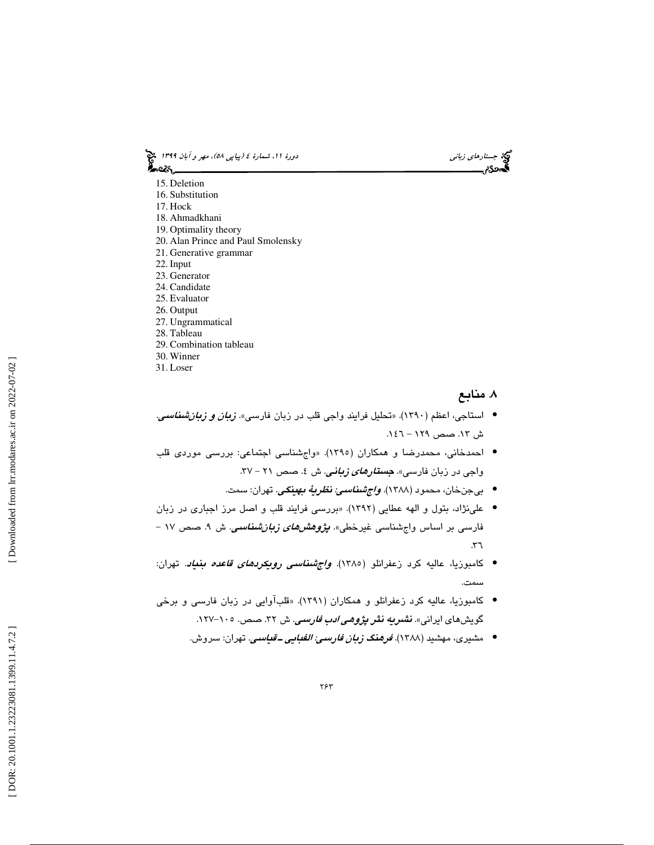(پياپي 58)، مهر و آبان 1399 جستارهاي زباني دورة ،11 شمارة 4

- 15. Deletion
- 16. Substitution
- 17. Hock
- 18. Ahmadkhani
- 19. Optimality theory
- 20. Alan Prince and Paul Smolensky 21. Generative grammar
- 22. Input
- 23. Generator
- 24. Candidate
- 25. Evaluator
- 26. Output
- 27. Ungrammatical
- 28. Tableau
- 29. Combination tableau
- 30. Winner
- 31. Loser

# . منابع 8

- استاجي، اعظم (١٣٩٠). «تحليل فرايند واجي قلب در زبان فارسي». *زبان و زبانشناسي.* ش .13 صص 129 - .146
- احمدخاني، محمدرضا و همكاران (1395). «واجشناسي اجتماعي: بررسي موردي قلب واجی در زبان فارسی». *جستار<i>های زبانی***.** ش ٤. صص ٢١ – ٣٧.
	- بيجنخان، محمود (1388). واجشناسي: نظرية بهينگي. تهران: سمت. •
- علينژاد، بتول و الهه عطايي (1392). «بررسي فرايند قلب و اصل مرز اجباري در زبان فارسی بر اساس واجشناسی غیرخطی». *پژوهشهای زبانشناسی*. ش ۹. صص ۱۷ –  $57.$
- كامبوزيا، عاليه كرد زعفرانلو (١٣٨٥). *واڄشناسى رويكردهاى قاعده بنياد.* تهران: سمت.
- كامبوزيا، عاليه كرد زعفرانلو و همكاران (1391). «قلبآوايي در زبان فارسي و برخي گويشهای ايرانی». *نشر<mark>يه نثر پژوه<i>ی ادب فارسی.* ش ۳۲. صص. ۱۰</mark>۰–۱۲۷.
	- مشيرى، مهشيد (١٣٨٨). *فرهنگ ز<i>بان فارسي: الفبايي ــ قياسي***.** تهران: سروش.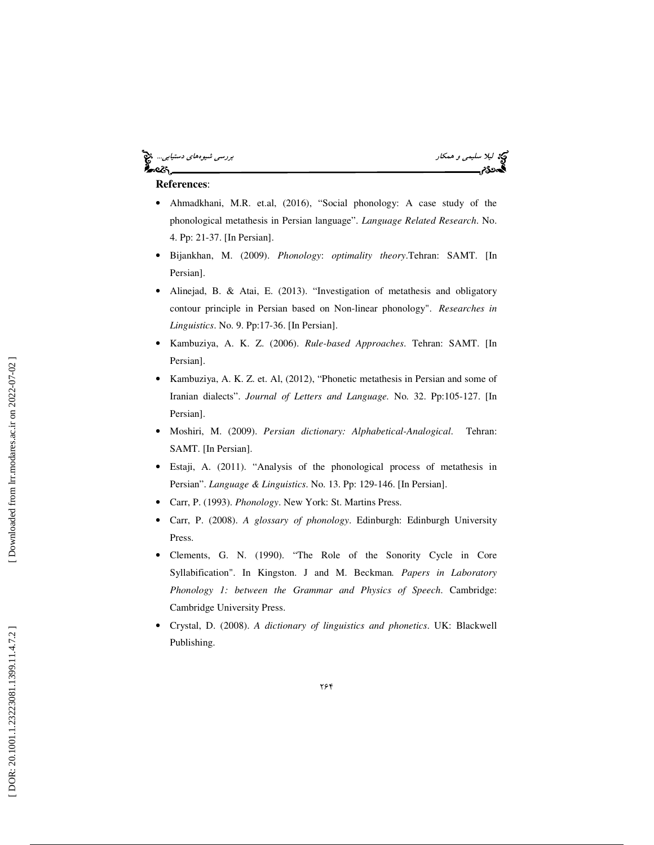### ليكا ليلا *سليمي و همكار بررسي شيوههاي دستيابي..*.. كان بررسي شيوههاي دستيابي... كان بررسي شيوههاي دستيابي... كان<br>**الي**مون المركز ه.<br>د

#### **References**:

- Ahmadkhani, M.R. et.al, (2016), "Social phonology: A case study of the phonological metathesis in Persian language". *Language Related Research*. No. 4. Pp: 21-37. [In Persian].
- Bijankhan, M. (2009). *Phonology*: *optimality theory*.Tehran: SAMT. [In Persian].
- Alinejad, B. & Atai, E. (2013). "Investigation of metathesis and obligatory contour principle in Persian based on Non-linear phonology". *Researches in Linguistics*. No. 9. Pp:17-36. [In Persian].
- Kambuziya, A. K. Z. (2006). *Rule-based Approaches*. Tehran: SAMT. [In Persian].
- Kambuziya, A. K. Z. et. Al, (2012), "Phonetic metathesis in Persian and some of Iranian dialects". *Journal of Letters and Language.* No. 32. Pp:105-127. [In Persian].
- Moshiri, M. (2009). *Persian dictionary: Alphabetical-Analogical*. Tehran: SAMT. [In Persian].
- Estaji, A. (2011). "Analysis of the phonological process of metathesis in Persian". *Language & Linguistics*. No. 13. Pp: 129-146. [In Persian].
- Carr, P. (1993). *Phonology*. New York: St. Martins Press.
- Carr, P. (2008). *A glossary of phonology*. Edinburgh: Edinburgh University Press.
- Clements, G. N. (1990). "The Role of the Sonority Cycle in Core Syllabification". In Kingston. J and M. Beckman*. Papers in Laboratory Phonology 1: between the Grammar and Physics of Speech*. Cambridge: Cambridge University Press.
- Crystal, D. (2008). *A dictionary of linguistics and phonetics*. UK: Blackwell Publishing.